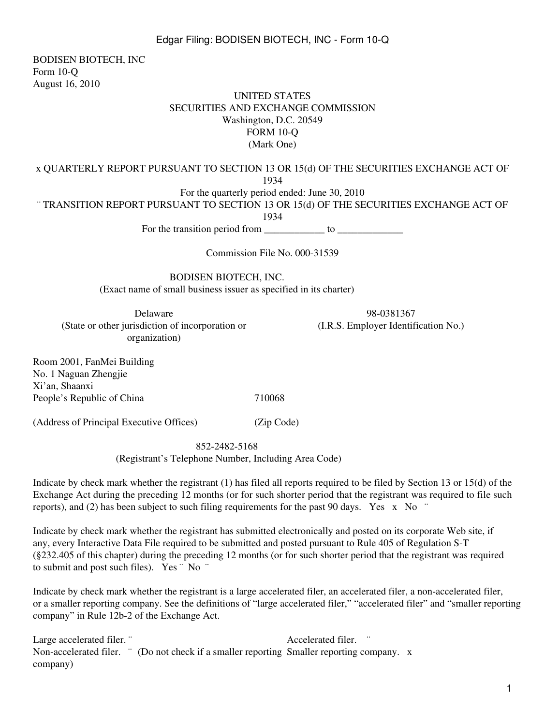BODISEN BIOTECH, INC Form 10-Q August 16, 2010

### UNITED STATES SECURITIES AND EXCHANGE COMMISSION Washington, D.C. 20549 FORM 10-Q (Mark One)

x QUARTERLY REPORT PURSUANT TO SECTION 13 OR 15(d) OF THE SECURITIES EXCHANGE ACT OF 1934

For the quarterly period ended: June 30, 2010

¨ TRANSITION REPORT PURSUANT TO SECTION 13 OR 15(d) OF THE SECURITIES EXCHANGE ACT OF

1934

For the transition period from to

Commission File No. 000-31539

BODISEN BIOTECH, INC. (Exact name of small business issuer as specified in its charter)

Delaware 98-0381367 (State or other jurisdiction of incorporation or (I.R.S. Employer Identification No.) organization)

Room 2001, FanMei Building No. 1 Naguan Zhengjie Xi'an, Shaanxi People's Republic of China 710068

(Address of Principal Executive Offices) (Zip Code)

852-2482-5168

(Registrant's Telephone Number, Including Area Code)

Indicate by check mark whether the registrant (1) has filed all reports required to be filed by Section 13 or 15(d) of the Exchange Act during the preceding 12 months (or for such shorter period that the registrant was required to file such reports), and (2) has been subject to such filing requirements for the past 90 days. Yes x No  $\degree$ 

Indicate by check mark whether the registrant has submitted electronically and posted on its corporate Web site, if any, every Interactive Data File required to be submitted and posted pursuant to Rule 405 of Regulation S-T (§232.405 of this chapter) during the preceding 12 months (or for such shorter period that the registrant was required to submit and post such files). Yes ¨ No ¨

Indicate by check mark whether the registrant is a large accelerated filer, an accelerated filer, a non-accelerated filer, or a smaller reporting company. See the definitions of "large accelerated filer," "accelerated filer" and "smaller reporting company" in Rule 12b-2 of the Exchange Act.

Large accelerated filer. ¨ Accelerated filer. Non-accelerated filer. " (Do not check if a smaller reporting Smaller reporting company. x company)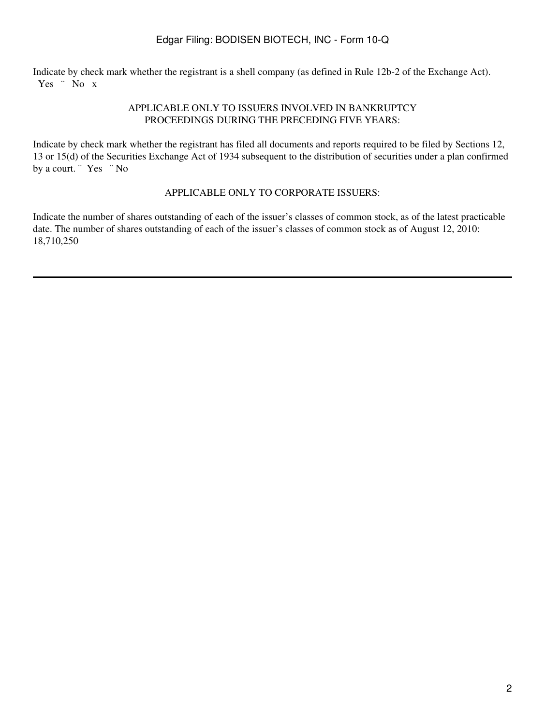Indicate by check mark whether the registrant is a shell company (as defined in Rule 12b-2 of the Exchange Act). Yes " No x

### APPLICABLE ONLY TO ISSUERS INVOLVED IN BANKRUPTCY PROCEEDINGS DURING THE PRECEDING FIVE YEARS:

Indicate by check mark whether the registrant has filed all documents and reports required to be filed by Sections 12, 13 or 15(d) of the Securities Exchange Act of 1934 subsequent to the distribution of securities under a plan confirmed by a court. "Yes "No

#### APPLICABLE ONLY TO CORPORATE ISSUERS:

Indicate the number of shares outstanding of each of the issuer's classes of common stock, as of the latest practicable date. The number of shares outstanding of each of the issuer's classes of common stock as of August 12, 2010: 18,710,250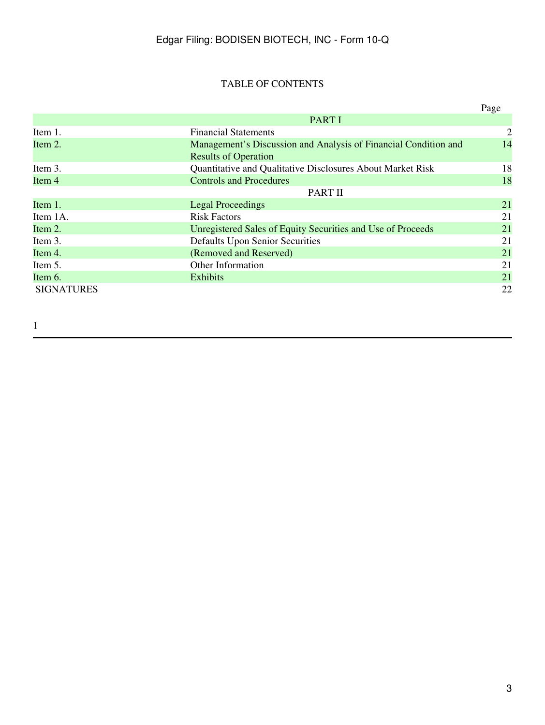# TABLE OF CONTENTS

|                   |                                                                 | Page |
|-------------------|-----------------------------------------------------------------|------|
|                   | <b>PART I</b>                                                   |      |
| Item 1.           | <b>Financial Statements</b>                                     | 2    |
| Item 2.           | Management's Discussion and Analysis of Financial Condition and | 14   |
|                   | <b>Results of Operation</b>                                     |      |
| Item 3.           | Quantitative and Qualitative Disclosures About Market Risk      | 18   |
| Item 4            | <b>Controls and Procedures</b>                                  | 18   |
|                   | PART II                                                         |      |
| Item 1.           | <b>Legal Proceedings</b>                                        | 21   |
| Item 1A.          | <b>Risk Factors</b>                                             | 21   |
| Item 2.           | Unregistered Sales of Equity Securities and Use of Proceeds     | 21   |
| Item 3.           | <b>Defaults Upon Senior Securities</b>                          | 21   |
| Item 4.           | (Removed and Reserved)                                          | 21   |
| Item 5.           | Other Information                                               | 21   |
| Item $6.$         | <b>Exhibits</b>                                                 | 21   |
| <b>SIGNATURES</b> |                                                                 | 22   |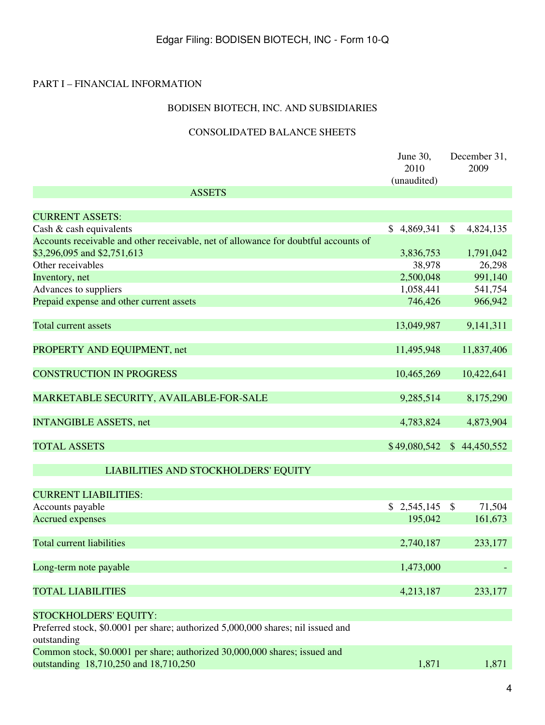### PART I – FINANCIAL INFORMATION

# BODISEN BIOTECH, INC. AND SUBSIDIARIES

# CONSOLIDATED BALANCE SHEETS

|                                                                                     | June 30,<br>2010<br>(unaudited) | December 31,<br>2009         |
|-------------------------------------------------------------------------------------|---------------------------------|------------------------------|
| <b>ASSETS</b>                                                                       |                                 |                              |
|                                                                                     |                                 |                              |
| <b>CURRENT ASSETS:</b>                                                              |                                 |                              |
| Cash & cash equivalents                                                             | $\mathbb{S}$<br>4,869,341       | $\mathbb{S}$<br>4,824,135    |
| Accounts receivable and other receivable, net of allowance for doubtful accounts of |                                 |                              |
| \$3,296,095 and \$2,751,613                                                         | 3,836,753                       | 1,791,042                    |
| Other receivables                                                                   | 38,978                          | 26,298                       |
| Inventory, net                                                                      | 2,500,048                       | 991,140                      |
| Advances to suppliers                                                               | 1,058,441                       | 541,754                      |
| Prepaid expense and other current assets                                            | 746,426                         | 966,942                      |
|                                                                                     |                                 |                              |
| <b>Total current assets</b>                                                         | 13,049,987                      | 9,141,311                    |
|                                                                                     |                                 |                              |
| PROPERTY AND EQUIPMENT, net                                                         | 11,495,948                      | 11,837,406                   |
|                                                                                     |                                 |                              |
| <b>CONSTRUCTION IN PROGRESS</b>                                                     | 10,465,269                      | 10,422,641                   |
|                                                                                     |                                 |                              |
| MARKETABLE SECURITY, AVAILABLE-FOR-SALE                                             | 9,285,514                       | 8,175,290                    |
|                                                                                     |                                 |                              |
| <b>INTANGIBLE ASSETS, net</b>                                                       | 4,783,824                       | 4,873,904                    |
|                                                                                     |                                 |                              |
| <b>TOTAL ASSETS</b>                                                                 | \$49,080,542                    | 44,450,552<br>$\mathbb{S}^-$ |
|                                                                                     |                                 |                              |
| LIABILITIES AND STOCKHOLDERS' EQUITY                                                |                                 |                              |
| <b>CURRENT LIABILITIES:</b>                                                         |                                 |                              |
| Accounts payable                                                                    | \$2,545,145                     | \$<br>71,504                 |
| <b>Accrued expenses</b>                                                             | 195,042                         | 161,673                      |
|                                                                                     |                                 |                              |
| <b>Total current liabilities</b>                                                    | 2,740,187                       | 233,177                      |
|                                                                                     |                                 |                              |
|                                                                                     | 1,473,000                       |                              |
| Long-term note payable                                                              |                                 |                              |
|                                                                                     |                                 |                              |
| <b>TOTAL LIABILITIES</b>                                                            | 4,213,187                       | 233,177                      |
|                                                                                     |                                 |                              |
| <b>STOCKHOLDERS' EQUITY:</b>                                                        |                                 |                              |
| Preferred stock, \$0.0001 per share; authorized 5,000,000 shares; nil issued and    |                                 |                              |
| outstanding                                                                         |                                 |                              |
| Common stock, \$0.0001 per share; authorized 30,000,000 shares; issued and          |                                 |                              |
| outstanding 18,710,250 and 18,710,250                                               | 1,871                           | 1,871                        |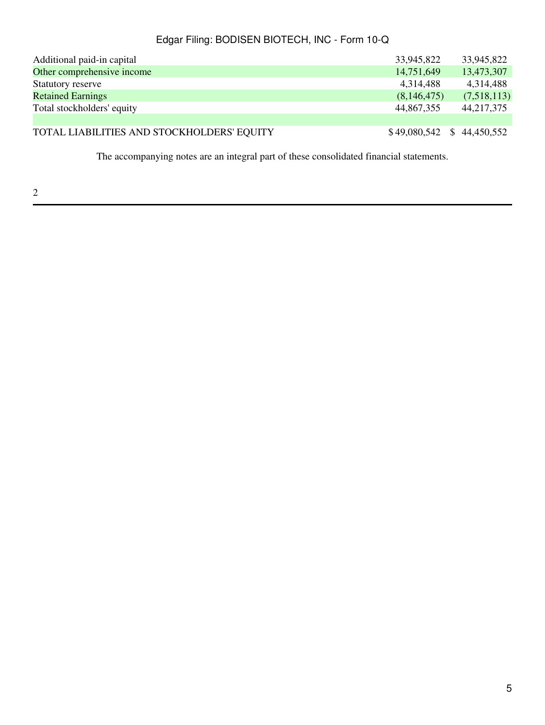| Additional paid-in capital                 | 33,945,822                 | 33,945,822  |
|--------------------------------------------|----------------------------|-------------|
| Other comprehensive income                 | 14,751,649                 | 13,473,307  |
| Statutory reserve                          | 4,314,488                  | 4,314,488   |
| <b>Retained Earnings</b>                   | (8,146,475)                | (7,518,113) |
| Total stockholders' equity                 | 44,867,355                 | 44,217,375  |
|                                            |                            |             |
| TOTAL LIABILITIES AND STOCKHOLDERS' EQUITY | $$49,080,542 \$44,450,552$ |             |

The accompanying notes are an integral part of these consolidated financial statements.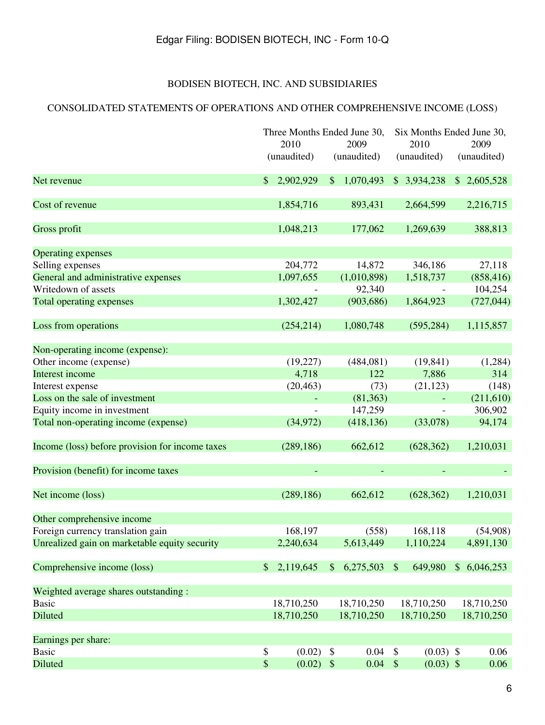# BODISEN BIOTECH, INC. AND SUBSIDIARIES

# CONSOLIDATED STATEMENTS OF OPERATIONS AND OTHER COMPREHENSIVE INCOME (LOSS)

|                                                 |                  | Three Months Ended June 30,        | Six Months Ended June 30,                |             |
|-------------------------------------------------|------------------|------------------------------------|------------------------------------------|-------------|
|                                                 | 2010             | 2009                               | 2010                                     | 2009        |
|                                                 | (unaudited)      | (unaudited)                        | (unaudited)                              | (unaudited) |
| Net revenue                                     | 2,902,929<br>\$. | 1,070,493<br>$\mathcal{S}$         | \$3,934,238                              | \$2,605,528 |
| Cost of revenue                                 | 1,854,716        | 893,431                            | 2,664,599                                | 2,216,715   |
| Gross profit                                    | 1,048,213        | 177,062                            | 1,269,639                                | 388,813     |
| <b>Operating expenses</b>                       |                  |                                    |                                          |             |
| Selling expenses                                | 204,772          | 14,872                             | 346,186                                  | 27,118      |
| General and administrative expenses             | 1,097,655        | (1,010,898)                        | 1,518,737                                | (858, 416)  |
| Writedown of assets                             |                  | 92,340                             |                                          | 104,254     |
| <b>Total operating expenses</b>                 | 1,302,427        | (903, 686)                         | 1,864,923                                | (727, 044)  |
| Loss from operations                            | (254, 214)       | 1,080,748                          | (595, 284)                               | 1,115,857   |
| Non-operating income (expense):                 |                  |                                    |                                          |             |
| Other income (expense)                          | (19,227)         | (484,081)                          | (19, 841)                                | (1,284)     |
| Interest income                                 | 4,718            | 122                                | 7,886                                    | 314         |
| Interest expense                                | (20, 463)        | (73)                               | (21, 123)                                | (148)       |
| Loss on the sale of investment                  |                  | (81, 363)                          |                                          | (211,610)   |
| Equity income in investment                     |                  | 147,259                            |                                          | 306,902     |
| Total non-operating income (expense)            | (34, 972)        | (418, 136)                         | (33,078)                                 | 94,174      |
| Income (loss) before provision for income taxes | (289, 186)       | 662,612                            | (628, 362)                               | 1,210,031   |
| Provision (benefit) for income taxes            |                  |                                    |                                          |             |
| Net income (loss)                               | (289, 186)       | 662,612                            | (628, 362)                               | 1,210,031   |
| Other comprehensive income                      |                  |                                    |                                          |             |
| Foreign currency translation gain               | 168,197          | (558)                              | 168,118                                  | (54,908)    |
| Unrealized gain on marketable equity security   | 2,240,634        | 5,613,449                          | 1,110,224                                | 4,891,130   |
| Comprehensive income (loss)                     | \$<br>2,119,645  | 6,275,503<br>$\mathcal{S}$         | $\mathcal{S}$<br>649,980                 | \$6,046,253 |
| Weighted average shares outstanding :           |                  |                                    |                                          |             |
| <b>Basic</b>                                    | 18,710,250       | 18,710,250                         | 18,710,250                               | 18,710,250  |
| <b>Diluted</b>                                  | 18,710,250       | 18,710,250                         | 18,710,250                               | 18,710,250  |
| Earnings per share:                             |                  |                                    |                                          |             |
| <b>Basic</b>                                    | \$<br>(0.02)     | 0.04<br>$\boldsymbol{\mathsf{\$}}$ | $\boldsymbol{\mathsf{S}}$<br>$(0.03)$ \$ | 0.06        |
| <b>Diluted</b>                                  | $\mathbb{S}$     | $(0.02)$ \$<br>$0.04$ \$           | $(0.03)$ \$                              | 0.06        |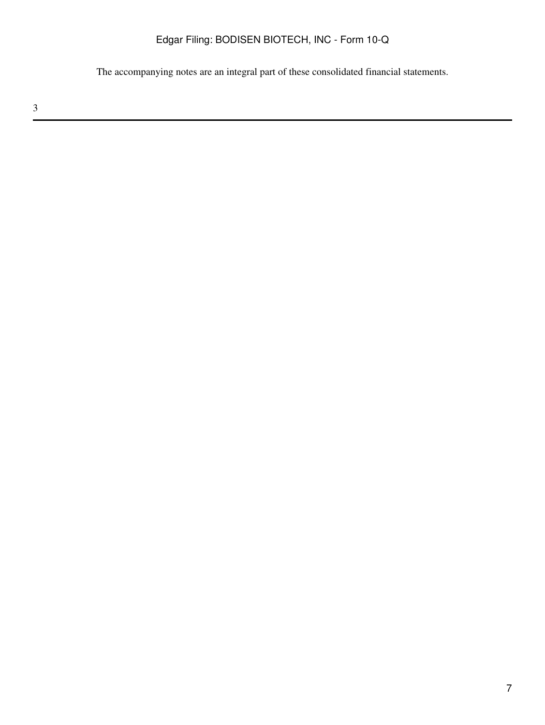The accompanying notes are an integral part of these consolidated financial statements.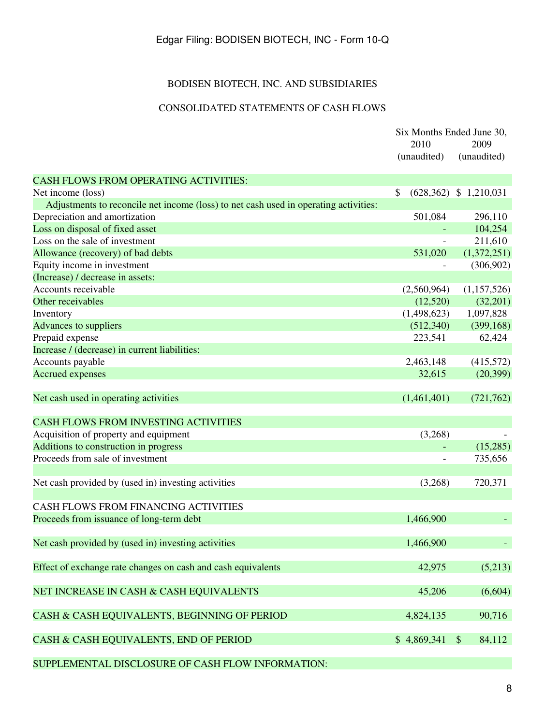# BODISEN BIOTECH, INC. AND SUBSIDIARIES

# CONSOLIDATED STATEMENTS OF CASH FLOWS

|                                                                                      | Six Months Ended June 30, |                                     |
|--------------------------------------------------------------------------------------|---------------------------|-------------------------------------|
|                                                                                      | 2010                      | 2009                                |
|                                                                                      | (unaudited)               | (unaudited)                         |
| <b>CASH FLOWS FROM OPERATING ACTIVITIES:</b>                                         |                           |                                     |
| Net income (loss)                                                                    | \$                        | $(628,362)$ \$ 1,210,031            |
| Adjustments to reconcile net income (loss) to net cash used in operating activities: |                           |                                     |
| Depreciation and amortization                                                        | 501,084                   | 296,110                             |
| Loss on disposal of fixed asset                                                      |                           | 104,254                             |
| Loss on the sale of investment                                                       | $\overline{\phantom{a}}$  | 211,610                             |
| Allowance (recovery) of bad debts                                                    | 531,020                   | (1,372,251)                         |
| Equity income in investment                                                          |                           | (306,902)                           |
| (Increase) / decrease in assets:                                                     |                           |                                     |
| Accounts receivable                                                                  | (2,560,964)               | (1,157,526)                         |
| Other receivables                                                                    | (12,520)                  | (32,201)                            |
| Inventory                                                                            | (1,498,623)               | 1,097,828                           |
| Advances to suppliers                                                                | (512, 340)                | (399, 168)                          |
| Prepaid expense                                                                      | 223,541                   | 62,424                              |
| Increase / (decrease) in current liabilities:                                        |                           |                                     |
| Accounts payable                                                                     | 2,463,148                 | (415,572)                           |
| <b>Accrued expenses</b>                                                              | 32,615                    | (20, 399)                           |
|                                                                                      |                           |                                     |
| Net cash used in operating activities                                                | (1,461,401)               | (721, 762)                          |
| <b>CASH FLOWS FROM INVESTING ACTIVITIES</b>                                          |                           |                                     |
| Acquisition of property and equipment                                                | (3,268)                   |                                     |
| Additions to construction in progress                                                |                           | (15,285)                            |
| Proceeds from sale of investment                                                     |                           | 735,656                             |
|                                                                                      |                           |                                     |
| Net cash provided by (used in) investing activities                                  | (3,268)                   | 720,371                             |
| CASH FLOWS FROM FINANCING ACTIVITIES                                                 |                           |                                     |
|                                                                                      |                           |                                     |
| Proceeds from issuance of long-term debt                                             | 1,466,900                 |                                     |
| Net cash provided by (used in) investing activities                                  | 1,466,900                 |                                     |
| Effect of exchange rate changes on cash and cash equivalents                         | 42,975                    | (5,213)                             |
| NET INCREASE IN CASH & CASH EQUIVALENTS                                              | 45,206                    | (6,604)                             |
| CASH & CASH EQUIVALENTS, BEGINNING OF PERIOD                                         | 4,824,135                 | 90,716                              |
| CASH & CASH EQUIVALENTS, END OF PERIOD                                               | \$4,869,341               | 84,112<br>$\boldsymbol{\mathsf{S}}$ |
| SUPPLEMENTAL DISCLOSURE OF CASH FLOW INFORMATION:                                    |                           |                                     |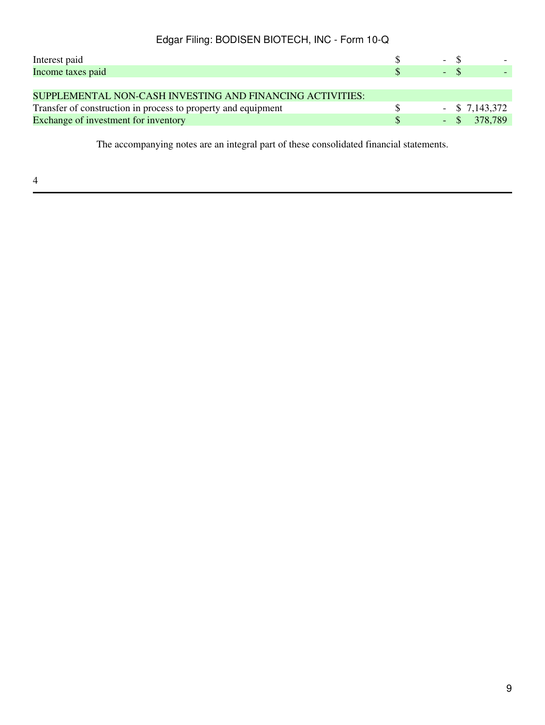| Interest paid                                                 | - \$             |  |
|---------------------------------------------------------------|------------------|--|
| Income taxes paid                                             | $-$ \$           |  |
|                                                               |                  |  |
| SUPPLEMENTAL NON-CASH INVESTING AND FINANCING ACTIVITIES:     |                  |  |
| Transfer of construction in process to property and equipment | $-$ \$ 7,143,372 |  |
| Exchange of investment for inventory                          | $-$ \$ 378,789   |  |

The accompanying notes are an integral part of these consolidated financial statements.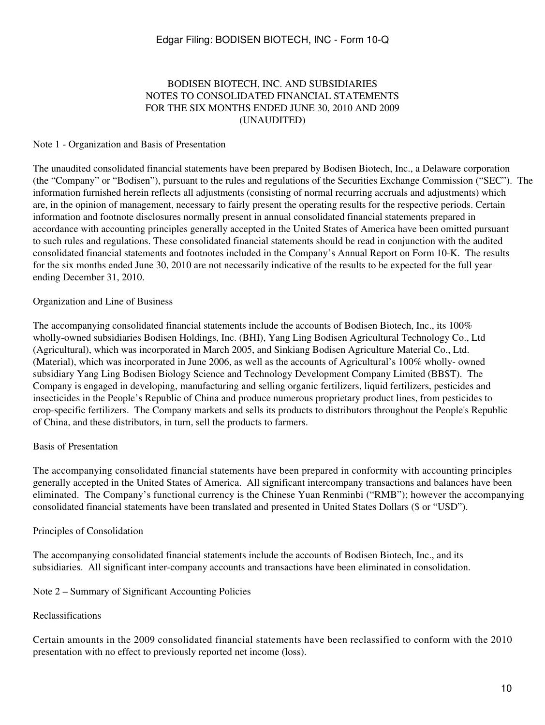#### BODISEN BIOTECH, INC. AND SUBSIDIARIES NOTES TO CONSOLIDATED FINANCIAL STATEMENTS FOR THE SIX MONTHS ENDED JUNE 30, 2010 AND 2009 (UNAUDITED)

#### Note 1 - Organization and Basis of Presentation

The unaudited consolidated financial statements have been prepared by Bodisen Biotech, Inc., a Delaware corporation (the "Company" or "Bodisen"), pursuant to the rules and regulations of the Securities Exchange Commission ("SEC"). The information furnished herein reflects all adjustments (consisting of normal recurring accruals and adjustments) which are, in the opinion of management, necessary to fairly present the operating results for the respective periods. Certain information and footnote disclosures normally present in annual consolidated financial statements prepared in accordance with accounting principles generally accepted in the United States of America have been omitted pursuant to such rules and regulations. These consolidated financial statements should be read in conjunction with the audited consolidated financial statements and footnotes included in the Company's Annual Report on Form 10-K. The results for the six months ended June 30, 2010 are not necessarily indicative of the results to be expected for the full year ending December 31, 2010.

#### Organization and Line of Business

The accompanying consolidated financial statements include the accounts of Bodisen Biotech, Inc., its 100% wholly-owned subsidiaries Bodisen Holdings, Inc. (BHI), Yang Ling Bodisen Agricultural Technology Co., Ltd (Agricultural), which was incorporated in March 2005, and Sinkiang Bodisen Agriculture Material Co., Ltd. (Material), which was incorporated in June 2006, as well as the accounts of Agricultural's 100% wholly- owned subsidiary Yang Ling Bodisen Biology Science and Technology Development Company Limited (BBST). The Company is engaged in developing, manufacturing and selling organic fertilizers, liquid fertilizers, pesticides and insecticides in the People's Republic of China and produce numerous proprietary product lines, from pesticides to crop-specific fertilizers. The Company markets and sells its products to distributors throughout the People's Republic of China, and these distributors, in turn, sell the products to farmers.

#### Basis of Presentation

The accompanying consolidated financial statements have been prepared in conformity with accounting principles generally accepted in the United States of America. All significant intercompany transactions and balances have been eliminated. The Company's functional currency is the Chinese Yuan Renminbi ("RMB"); however the accompanying consolidated financial statements have been translated and presented in United States Dollars (\$ or "USD").

#### Principles of Consolidation

The accompanying consolidated financial statements include the accounts of Bodisen Biotech, Inc., and its subsidiaries. All significant inter-company accounts and transactions have been eliminated in consolidation.

Note 2 – Summary of Significant Accounting Policies

#### Reclassifications

Certain amounts in the 2009 consolidated financial statements have been reclassified to conform with the 2010 presentation with no effect to previously reported net income (loss).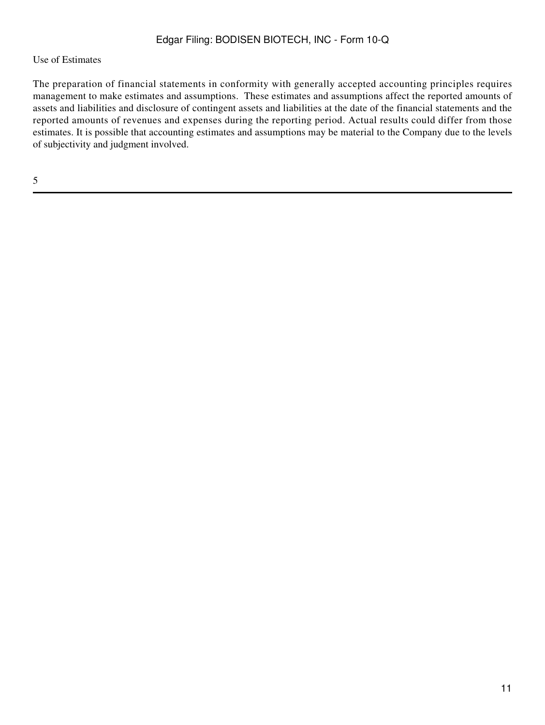### Use of Estimates

The preparation of financial statements in conformity with generally accepted accounting principles requires management to make estimates and assumptions. These estimates and assumptions affect the reported amounts of assets and liabilities and disclosure of contingent assets and liabilities at the date of the financial statements and the reported amounts of revenues and expenses during the reporting period. Actual results could differ from those estimates. It is possible that accounting estimates and assumptions may be material to the Company due to the levels of subjectivity and judgment involved.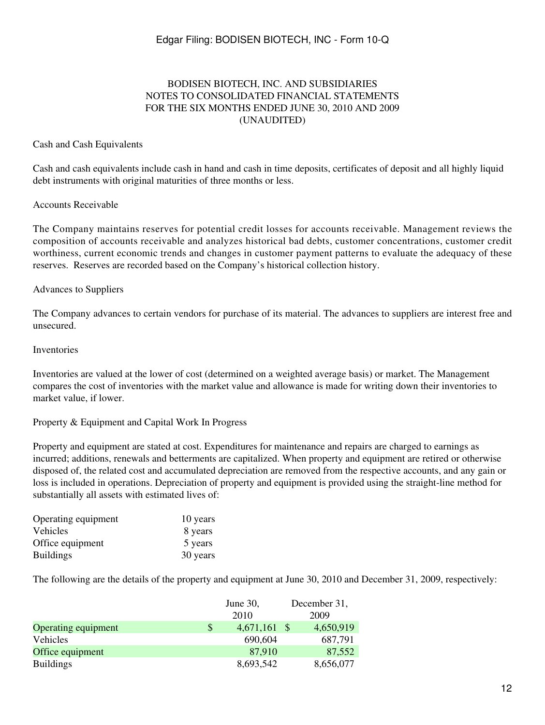### BODISEN BIOTECH, INC. AND SUBSIDIARIES NOTES TO CONSOLIDATED FINANCIAL STATEMENTS FOR THE SIX MONTHS ENDED JUNE 30, 2010 AND 2009 (UNAUDITED)

#### Cash and Cash Equivalents

Cash and cash equivalents include cash in hand and cash in time deposits, certificates of deposit and all highly liquid debt instruments with original maturities of three months or less.

#### Accounts Receivable

The Company maintains reserves for potential credit losses for accounts receivable. Management reviews the composition of accounts receivable and analyzes historical bad debts, customer concentrations, customer credit worthiness, current economic trends and changes in customer payment patterns to evaluate the adequacy of these reserves. Reserves are recorded based on the Company's historical collection history.

#### Advances to Suppliers

The Company advances to certain vendors for purchase of its material. The advances to suppliers are interest free and unsecured.

#### Inventories

Inventories are valued at the lower of cost (determined on a weighted average basis) or market. The Management compares the cost of inventories with the market value and allowance is made for writing down their inventories to market value, if lower.

#### Property & Equipment and Capital Work In Progress

Property and equipment are stated at cost. Expenditures for maintenance and repairs are charged to earnings as incurred; additions, renewals and betterments are capitalized. When property and equipment are retired or otherwise disposed of, the related cost and accumulated depreciation are removed from the respective accounts, and any gain or loss is included in operations. Depreciation of property and equipment is provided using the straight-line method for substantially all assets with estimated lives of:

| Operating equipment | 10 years |
|---------------------|----------|
| Vehicles            | 8 years  |
| Office equipment    | 5 years  |
| <b>Buildings</b>    | 30 years |

The following are the details of the property and equipment at June 30, 2010 and December 31, 2009, respectively:

|                     | June $30$ ,<br>2010  | December 31,<br>2009 |
|---------------------|----------------------|----------------------|
| Operating equipment | \$<br>$4,671,161$ \$ | 4,650,919            |
| Vehicles            | 690,604              | 687,791              |
| Office equipment    | 87,910               | 87,552               |
| <b>Buildings</b>    | 8,693,542            | 8,656,077            |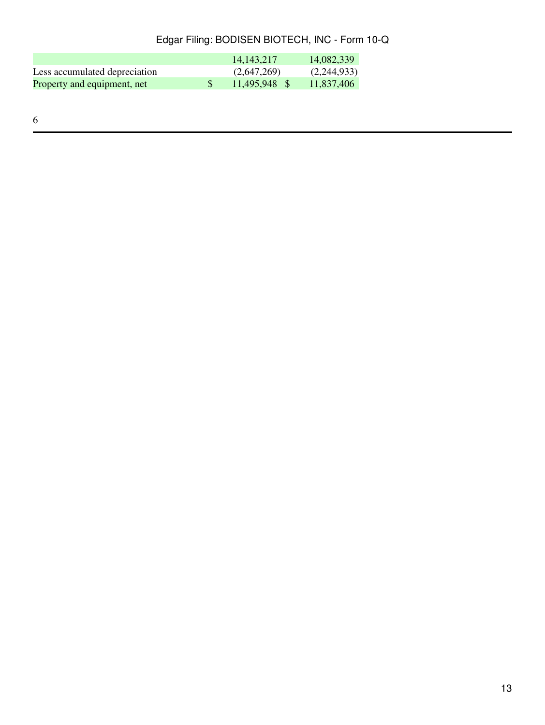|                               | 14, 143, 217  | 14,082,339  |
|-------------------------------|---------------|-------------|
| Less accumulated depreciation | (2,647,269)   | (2,244,933) |
| Property and equipment, net   | 11.495.948 \$ | 11,837,406  |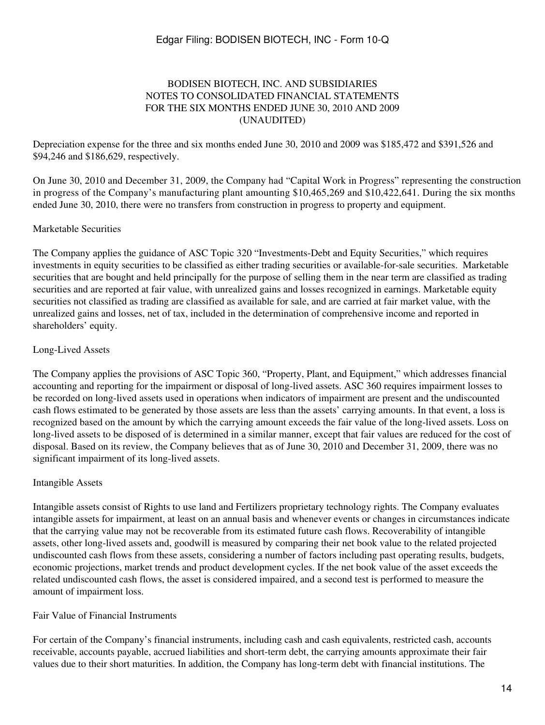### BODISEN BIOTECH, INC. AND SUBSIDIARIES NOTES TO CONSOLIDATED FINANCIAL STATEMENTS FOR THE SIX MONTHS ENDED JUNE 30, 2010 AND 2009 (UNAUDITED)

Depreciation expense for the three and six months ended June 30, 2010 and 2009 was \$185,472 and \$391,526 and \$94,246 and \$186,629, respectively.

On June 30, 2010 and December 31, 2009, the Company had "Capital Work in Progress" representing the construction in progress of the Company's manufacturing plant amounting \$10,465,269 and \$10,422,641. During the six months ended June 30, 2010, there were no transfers from construction in progress to property and equipment.

### Marketable Securities

The Company applies the guidance of ASC Topic 320 "Investments-Debt and Equity Securities," which requires investments in equity securities to be classified as either trading securities or available-for-sale securities. Marketable securities that are bought and held principally for the purpose of selling them in the near term are classified as trading securities and are reported at fair value, with unrealized gains and losses recognized in earnings. Marketable equity securities not classified as trading are classified as available for sale, and are carried at fair market value, with the unrealized gains and losses, net of tax, included in the determination of comprehensive income and reported in shareholders' equity.

### Long-Lived Assets

The Company applies the provisions of ASC Topic 360, "Property, Plant, and Equipment," which addresses financial accounting and reporting for the impairment or disposal of long-lived assets. ASC 360 requires impairment losses to be recorded on long-lived assets used in operations when indicators of impairment are present and the undiscounted cash flows estimated to be generated by those assets are less than the assets' carrying amounts. In that event, a loss is recognized based on the amount by which the carrying amount exceeds the fair value of the long-lived assets. Loss on long-lived assets to be disposed of is determined in a similar manner, except that fair values are reduced for the cost of disposal. Based on its review, the Company believes that as of June 30, 2010 and December 31, 2009, there was no significant impairment of its long-lived assets.

#### Intangible Assets

Intangible assets consist of Rights to use land and Fertilizers proprietary technology rights. The Company evaluates intangible assets for impairment, at least on an annual basis and whenever events or changes in circumstances indicate that the carrying value may not be recoverable from its estimated future cash flows. Recoverability of intangible assets, other long-lived assets and, goodwill is measured by comparing their net book value to the related projected undiscounted cash flows from these assets, considering a number of factors including past operating results, budgets, economic projections, market trends and product development cycles. If the net book value of the asset exceeds the related undiscounted cash flows, the asset is considered impaired, and a second test is performed to measure the amount of impairment loss.

#### Fair Value of Financial Instruments

For certain of the Company's financial instruments, including cash and cash equivalents, restricted cash, accounts receivable, accounts payable, accrued liabilities and short-term debt, the carrying amounts approximate their fair values due to their short maturities. In addition, the Company has long-term debt with financial institutions. The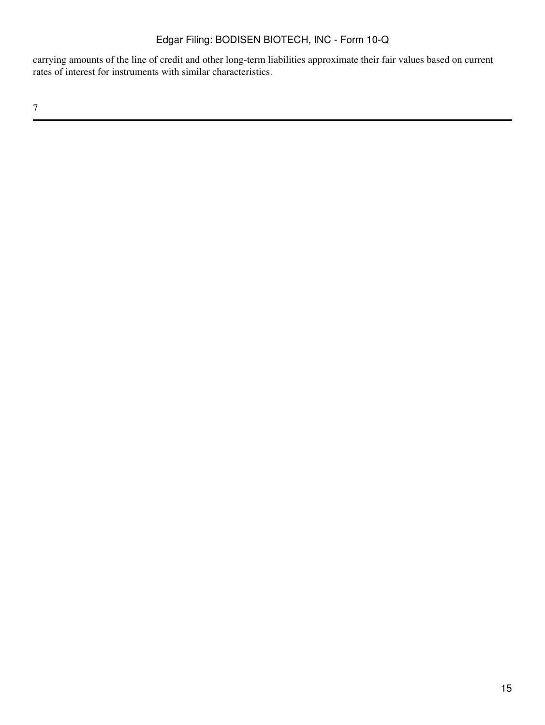carrying amounts of the line of credit and other long-term liabilities approximate their fair values based on current rates of interest for instruments with similar characteristics.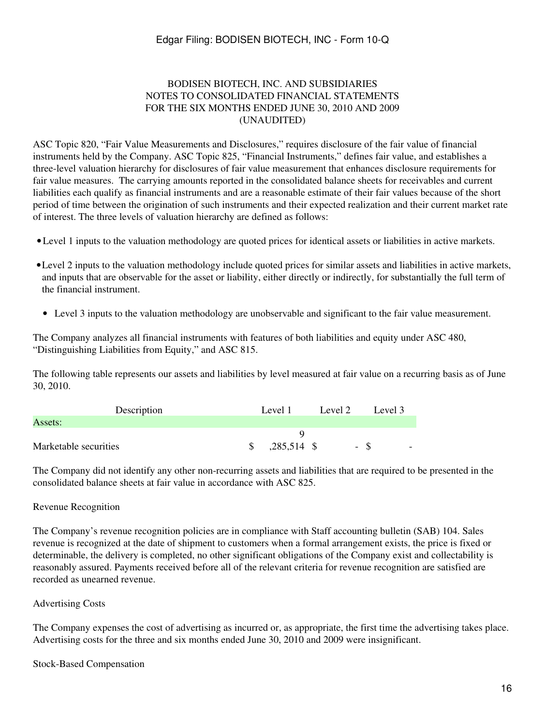#### BODISEN BIOTECH, INC. AND SUBSIDIARIES NOTES TO CONSOLIDATED FINANCIAL STATEMENTS FOR THE SIX MONTHS ENDED JUNE 30, 2010 AND 2009 (UNAUDITED)

ASC Topic 820, "Fair Value Measurements and Disclosures," requires disclosure of the fair value of financial instruments held by the Company. ASC Topic 825, "Financial Instruments," defines fair value, and establishes a three-level valuation hierarchy for disclosures of fair value measurement that enhances disclosure requirements for fair value measures. The carrying amounts reported in the consolidated balance sheets for receivables and current liabilities each qualify as financial instruments and are a reasonable estimate of their fair values because of the short period of time between the origination of such instruments and their expected realization and their current market rate of interest. The three levels of valuation hierarchy are defined as follows:

- •Level 1 inputs to the valuation methodology are quoted prices for identical assets or liabilities in active markets.
- •Level 2 inputs to the valuation methodology include quoted prices for similar assets and liabilities in active markets, and inputs that are observable for the asset or liability, either directly or indirectly, for substantially the full term of the financial instrument.
	- Level 3 inputs to the valuation methodology are unobservable and significant to the fair value measurement.

The Company analyzes all financial instruments with features of both liabilities and equity under ASC 480, "Distinguishing Liabilities from Equity," and ASC 815.

The following table represents our assets and liabilities by level measured at fair value on a recurring basis as of June 30, 2010.

| Description           | Level 1                     | Level 2 | Level 3                          |
|-----------------------|-----------------------------|---------|----------------------------------|
| Assets:               |                             |         |                                  |
|                       |                             |         |                                  |
| Marketable securities | ,285,514 \$<br><sup>S</sup> |         | - \$<br>$\overline{\phantom{0}}$ |

The Company did not identify any other non-recurring assets and liabilities that are required to be presented in the consolidated balance sheets at fair value in accordance with ASC 825.

#### Revenue Recognition

The Company's revenue recognition policies are in compliance with Staff accounting bulletin (SAB) 104. Sales revenue is recognized at the date of shipment to customers when a formal arrangement exists, the price is fixed or determinable, the delivery is completed, no other significant obligations of the Company exist and collectability is reasonably assured. Payments received before all of the relevant criteria for revenue recognition are satisfied are recorded as unearned revenue.

#### Advertising Costs

The Company expenses the cost of advertising as incurred or, as appropriate, the first time the advertising takes place. Advertising costs for the three and six months ended June 30, 2010 and 2009 were insignificant.

#### Stock-Based Compensation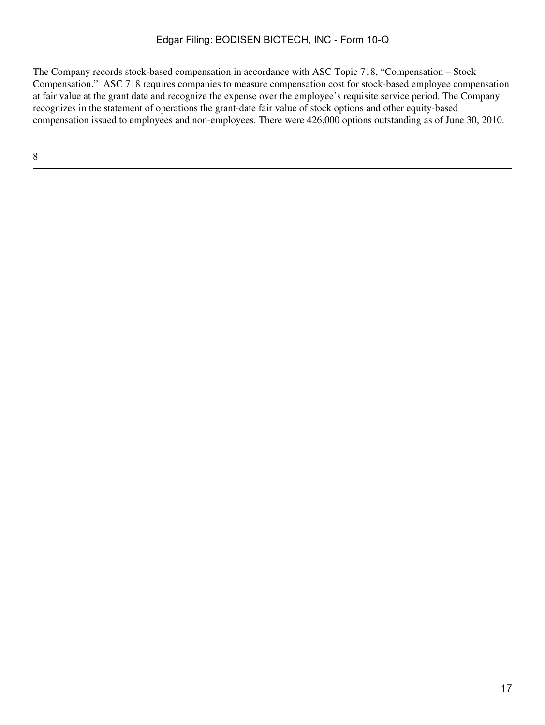The Company records stock-based compensation in accordance with ASC Topic 718, "Compensation – Stock Compensation." ASC 718 requires companies to measure compensation cost for stock-based employee compensation at fair value at the grant date and recognize the expense over the employee's requisite service period. The Company recognizes in the statement of operations the grant-date fair value of stock options and other equity-based compensation issued to employees and non-employees. There were 426,000 options outstanding as of June 30, 2010.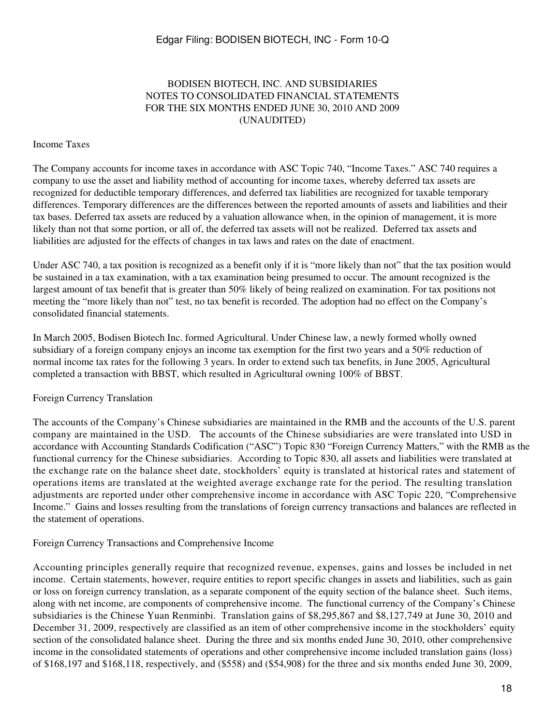### BODISEN BIOTECH, INC. AND SUBSIDIARIES NOTES TO CONSOLIDATED FINANCIAL STATEMENTS FOR THE SIX MONTHS ENDED JUNE 30, 2010 AND 2009 (UNAUDITED)

#### Income Taxes

The Company accounts for income taxes in accordance with ASC Topic 740, "Income Taxes." ASC 740 requires a company to use the asset and liability method of accounting for income taxes, whereby deferred tax assets are recognized for deductible temporary differences, and deferred tax liabilities are recognized for taxable temporary differences. Temporary differences are the differences between the reported amounts of assets and liabilities and their tax bases. Deferred tax assets are reduced by a valuation allowance when, in the opinion of management, it is more likely than not that some portion, or all of, the deferred tax assets will not be realized. Deferred tax assets and liabilities are adjusted for the effects of changes in tax laws and rates on the date of enactment.

Under ASC 740, a tax position is recognized as a benefit only if it is "more likely than not" that the tax position would be sustained in a tax examination, with a tax examination being presumed to occur. The amount recognized is the largest amount of tax benefit that is greater than 50% likely of being realized on examination. For tax positions not meeting the "more likely than not" test, no tax benefit is recorded. The adoption had no effect on the Company's consolidated financial statements.

In March 2005, Bodisen Biotech Inc. formed Agricultural. Under Chinese law, a newly formed wholly owned subsidiary of a foreign company enjoys an income tax exemption for the first two years and a 50% reduction of normal income tax rates for the following 3 years. In order to extend such tax benefits, in June 2005, Agricultural completed a transaction with BBST, which resulted in Agricultural owning 100% of BBST.

#### Foreign Currency Translation

The accounts of the Company's Chinese subsidiaries are maintained in the RMB and the accounts of the U.S. parent company are maintained in the USD. The accounts of the Chinese subsidiaries are were translated into USD in accordance with Accounting Standards Codification ("ASC") Topic 830 "Foreign Currency Matters," with the RMB as the functional currency for the Chinese subsidiaries. According to Topic 830, all assets and liabilities were translated at the exchange rate on the balance sheet date, stockholders' equity is translated at historical rates and statement of operations items are translated at the weighted average exchange rate for the period. The resulting translation adjustments are reported under other comprehensive income in accordance with ASC Topic 220, "Comprehensive Income." Gains and losses resulting from the translations of foreign currency transactions and balances are reflected in the statement of operations.

Foreign Currency Transactions and Comprehensive Income

Accounting principles generally require that recognized revenue, expenses, gains and losses be included in net income. Certain statements, however, require entities to report specific changes in assets and liabilities, such as gain or loss on foreign currency translation, as a separate component of the equity section of the balance sheet. Such items, along with net income, are components of comprehensive income. The functional currency of the Company's Chinese subsidiaries is the Chinese Yuan Renminbi. Translation gains of \$8,295,867 and \$8,127,749 at June 30, 2010 and December 31, 2009, respectively are classified as an item of other comprehensive income in the stockholders' equity section of the consolidated balance sheet. During the three and six months ended June 30, 2010, other comprehensive income in the consolidated statements of operations and other comprehensive income included translation gains (loss) of \$168,197 and \$168,118, respectively, and (\$558) and (\$54,908) for the three and six months ended June 30, 2009,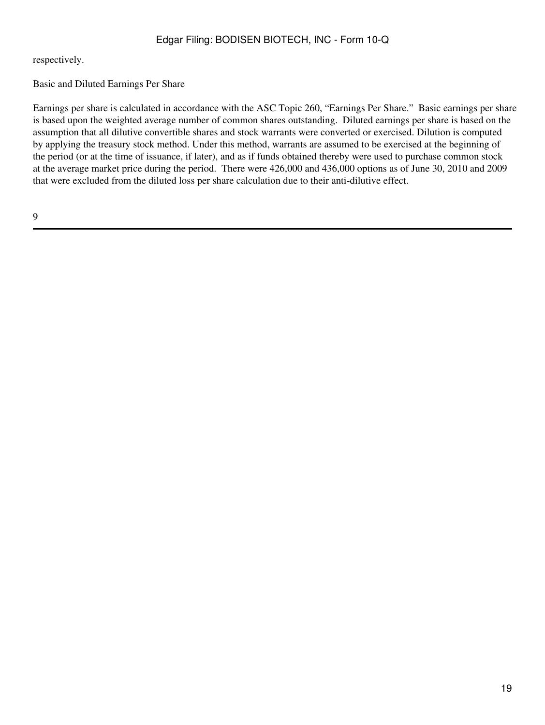respectively.

Basic and Diluted Earnings Per Share

Earnings per share is calculated in accordance with the ASC Topic 260, "Earnings Per Share." Basic earnings per share is based upon the weighted average number of common shares outstanding. Diluted earnings per share is based on the assumption that all dilutive convertible shares and stock warrants were converted or exercised. Dilution is computed by applying the treasury stock method. Under this method, warrants are assumed to be exercised at the beginning of the period (or at the time of issuance, if later), and as if funds obtained thereby were used to purchase common stock at the average market price during the period. There were 426,000 and 436,000 options as of June 30, 2010 and 2009 that were excluded from the diluted loss per share calculation due to their anti-dilutive effect.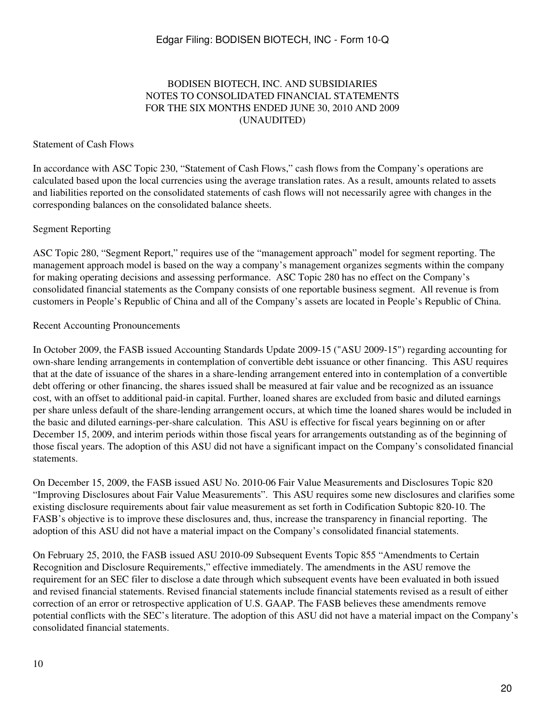### BODISEN BIOTECH, INC. AND SUBSIDIARIES NOTES TO CONSOLIDATED FINANCIAL STATEMENTS FOR THE SIX MONTHS ENDED JUNE 30, 2010 AND 2009 (UNAUDITED)

#### Statement of Cash Flows

In accordance with ASC Topic 230, "Statement of Cash Flows," cash flows from the Company's operations are calculated based upon the local currencies using the average translation rates. As a result, amounts related to assets and liabilities reported on the consolidated statements of cash flows will not necessarily agree with changes in the corresponding balances on the consolidated balance sheets.

#### Segment Reporting

ASC Topic 280, "Segment Report," requires use of the "management approach" model for segment reporting. The management approach model is based on the way a company's management organizes segments within the company for making operating decisions and assessing performance. ASC Topic 280 has no effect on the Company's consolidated financial statements as the Company consists of one reportable business segment. All revenue is from customers in People's Republic of China and all of the Company's assets are located in People's Republic of China.

#### Recent Accounting Pronouncements

In October 2009, the FASB issued Accounting Standards Update 2009-15 ("ASU 2009-15") regarding accounting for own-share lending arrangements in contemplation of convertible debt issuance or other financing. This ASU requires that at the date of issuance of the shares in a share-lending arrangement entered into in contemplation of a convertible debt offering or other financing, the shares issued shall be measured at fair value and be recognized as an issuance cost, with an offset to additional paid-in capital. Further, loaned shares are excluded from basic and diluted earnings per share unless default of the share-lending arrangement occurs, at which time the loaned shares would be included in the basic and diluted earnings-per-share calculation. This ASU is effective for fiscal years beginning on or after December 15, 2009, and interim periods within those fiscal years for arrangements outstanding as of the beginning of those fiscal years. The adoption of this ASU did not have a significant impact on the Company's consolidated financial statements.

On December 15, 2009, the FASB issued ASU No. 2010-06 Fair Value Measurements and Disclosures Topic 820 "Improving Disclosures about Fair Value Measurements". This ASU requires some new disclosures and clarifies some existing disclosure requirements about fair value measurement as set forth in Codification Subtopic 820-10. The FASB's objective is to improve these disclosures and, thus, increase the transparency in financial reporting. The adoption of this ASU did not have a material impact on the Company's consolidated financial statements.

On February 25, 2010, the FASB issued ASU 2010-09 Subsequent Events Topic 855 "Amendments to Certain Recognition and Disclosure Requirements," effective immediately. The amendments in the ASU remove the requirement for an SEC filer to disclose a date through which subsequent events have been evaluated in both issued and revised financial statements. Revised financial statements include financial statements revised as a result of either correction of an error or retrospective application of U.S. GAAP. The FASB believes these amendments remove potential conflicts with the SEC's literature. The adoption of this ASU did not have a material impact on the Company's consolidated financial statements.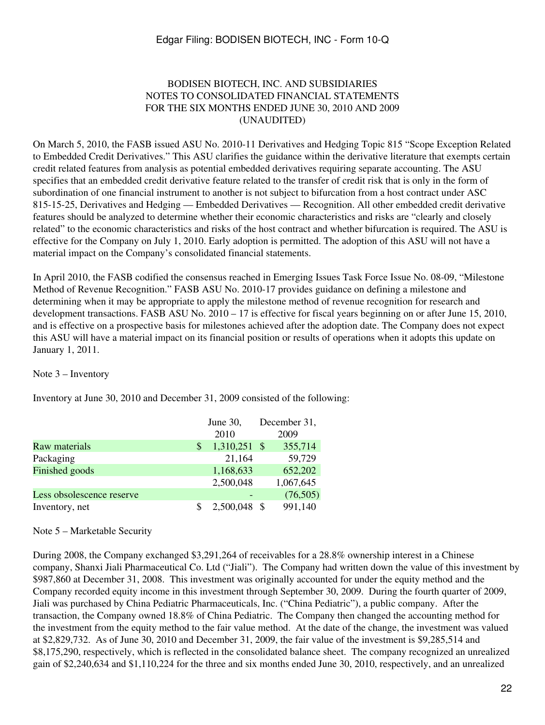#### BODISEN BIOTECH, INC. AND SUBSIDIARIES NOTES TO CONSOLIDATED FINANCIAL STATEMENTS FOR THE SIX MONTHS ENDED JUNE 30, 2010 AND 2009 (UNAUDITED)

On March 5, 2010, the FASB issued ASU No. 2010-11 Derivatives and Hedging Topic 815 "Scope Exception Related to Embedded Credit Derivatives." This ASU clarifies the guidance within the derivative literature that exempts certain credit related features from analysis as potential embedded derivatives requiring separate accounting. The ASU specifies that an embedded credit derivative feature related to the transfer of credit risk that is only in the form of subordination of one financial instrument to another is not subject to bifurcation from a host contract under ASC 815-15-25, Derivatives and Hedging — Embedded Derivatives — Recognition. All other embedded credit derivative features should be analyzed to determine whether their economic characteristics and risks are "clearly and closely related" to the economic characteristics and risks of the host contract and whether bifurcation is required. The ASU is effective for the Company on July 1, 2010. Early adoption is permitted. The adoption of this ASU will not have a material impact on the Company's consolidated financial statements.

In April 2010, the FASB codified the consensus reached in Emerging Issues Task Force Issue No. 08-09, "Milestone Method of Revenue Recognition." FASB ASU No. 2010-17 provides guidance on defining a milestone and determining when it may be appropriate to apply the milestone method of revenue recognition for research and development transactions. FASB ASU No. 2010 – 17 is effective for fiscal years beginning on or after June 15, 2010, and is effective on a prospective basis for milestones achieved after the adoption date. The Company does not expect this ASU will have a material impact on its financial position or results of operations when it adopts this update on January 1, 2011.

#### Note 3 – Inventory

Inventory at June 30, 2010 and December 31, 2009 consisted of the following:

|                           |   | June $30$ , |      | December 31, |
|---------------------------|---|-------------|------|--------------|
|                           |   | 2010        |      | 2009         |
| Raw materials             | S | 1,310,251   | - \$ | 355,714      |
| Packaging                 |   | 21,164      |      | 59,729       |
| Finished goods            |   | 1,168,633   |      | 652,202      |
|                           |   | 2,500,048   |      | 1,067,645    |
| Less obsolescence reserve |   |             |      | (76,505)     |
| Inventory, net            |   | 2,500,048   |      | 991,140      |

#### Note 5 – Marketable Security

During 2008, the Company exchanged \$3,291,264 of receivables for a 28.8% ownership interest in a Chinese company, Shanxi Jiali Pharmaceutical Co. Ltd ("Jiali"). The Company had written down the value of this investment by \$987,860 at December 31, 2008. This investment was originally accounted for under the equity method and the Company recorded equity income in this investment through September 30, 2009. During the fourth quarter of 2009, Jiali was purchased by China Pediatric Pharmaceuticals, Inc. ("China Pediatric"), a public company. After the transaction, the Company owned 18.8% of China Pediatric. The Company then changed the accounting method for the investment from the equity method to the fair value method. At the date of the change, the investment was valued at \$2,829,732. As of June 30, 2010 and December 31, 2009, the fair value of the investment is \$9,285,514 and \$8,175,290, respectively, which is reflected in the consolidated balance sheet. The company recognized an unrealized gain of \$2,240,634 and \$1,110,224 for the three and six months ended June 30, 2010, respectively, and an unrealized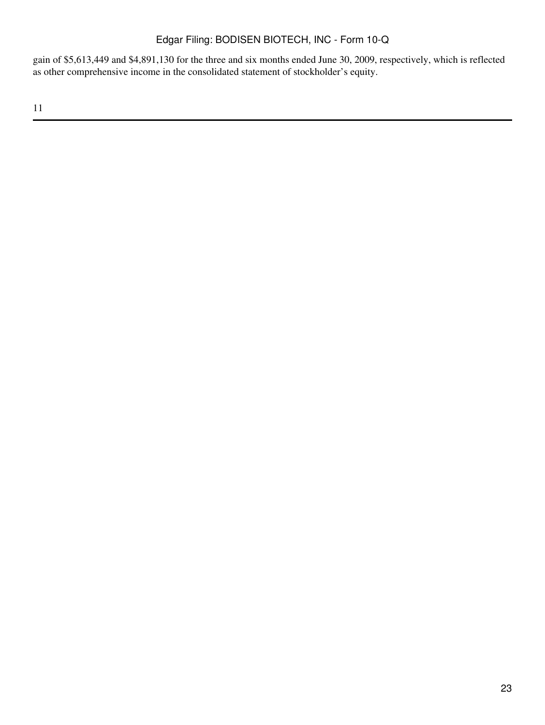gain of \$5,613,449 and \$4,891,130 for the three and six months ended June 30, 2009, respectively, which is reflected as other comprehensive income in the consolidated statement of stockholder's equity.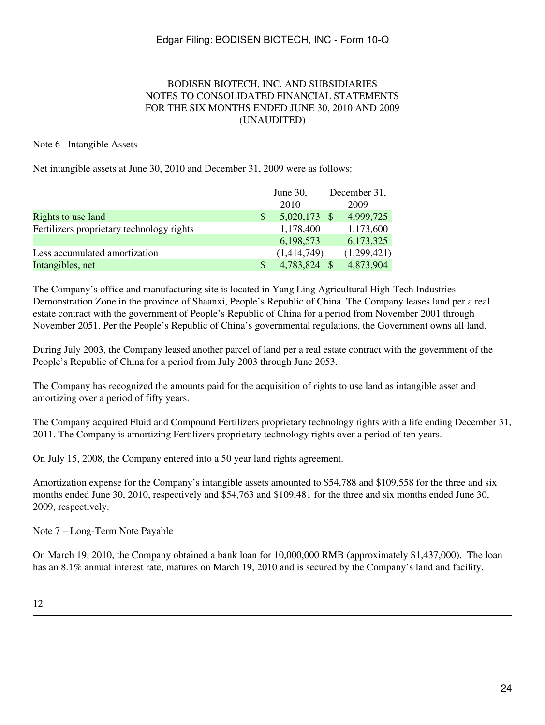### BODISEN BIOTECH, INC. AND SUBSIDIARIES NOTES TO CONSOLIDATED FINANCIAL STATEMENTS FOR THE SIX MONTHS ENDED JUNE 30, 2010 AND 2009 (UNAUDITED)

### Note 6– Intangible Assets

Net intangible assets at June 30, 2010 and December 31, 2009 were as follows:

|                                           | June $30$ ,  |                | December 31, |
|-------------------------------------------|--------------|----------------|--------------|
|                                           |              | 2010           | 2009         |
| Rights to use land                        | <sup>S</sup> | $5,020,173$ \$ | 4,999,725    |
| Fertilizers proprietary technology rights |              | 1,178,400      | 1,173,600    |
|                                           |              | 6,198,573      | 6,173,325    |
| Less accumulated amortization             |              | (1,414,749)    | (1,299,421)  |
| Intangibles, net                          | \$.          | 4,783,824 \$   | 4,873,904    |

The Company's office and manufacturing site is located in Yang Ling Agricultural High-Tech Industries Demonstration Zone in the province of Shaanxi, People's Republic of China. The Company leases land per a real estate contract with the government of People's Republic of China for a period from November 2001 through November 2051. Per the People's Republic of China's governmental regulations, the Government owns all land.

During July 2003, the Company leased another parcel of land per a real estate contract with the government of the People's Republic of China for a period from July 2003 through June 2053.

The Company has recognized the amounts paid for the acquisition of rights to use land as intangible asset and amortizing over a period of fifty years.

The Company acquired Fluid and Compound Fertilizers proprietary technology rights with a life ending December 31, 2011. The Company is amortizing Fertilizers proprietary technology rights over a period of ten years.

On July 15, 2008, the Company entered into a 50 year land rights agreement.

Amortization expense for the Company's intangible assets amounted to \$54,788 and \$109,558 for the three and six months ended June 30, 2010, respectively and \$54,763 and \$109,481 for the three and six months ended June 30, 2009, respectively.

Note 7 – Long-Term Note Payable

On March 19, 2010, the Company obtained a bank loan for 10,000,000 RMB (approximately \$1,437,000). The loan has an 8.1% annual interest rate, matures on March 19, 2010 and is secured by the Company's land and facility.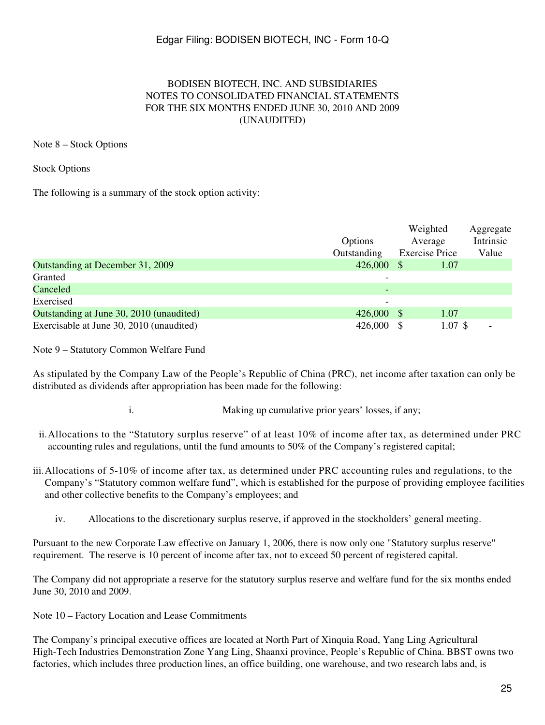### BODISEN BIOTECH, INC. AND SUBSIDIARIES NOTES TO CONSOLIDATED FINANCIAL STATEMENTS FOR THE SIX MONTHS ENDED JUNE 30, 2010 AND 2009 (UNAUDITED)

### Note 8 – Stock Options

Stock Options

The following is a summary of the stock option activity:

|                                          | Options<br>Outstanding | Weighted<br>Average<br><b>Exercise Price</b> |                    | Aggregate<br>Intrinsic<br>Value |
|------------------------------------------|------------------------|----------------------------------------------|--------------------|---------------------------------|
| Outstanding at December 31, 2009         | 426,000                |                                              | 1.07               |                                 |
| Granted                                  |                        |                                              |                    |                                 |
| Canceled                                 |                        |                                              |                    |                                 |
| Exercised                                |                        |                                              |                    |                                 |
| Outstanding at June 30, 2010 (unaudited) | 426,000                | <sup>8</sup>                                 | 1.07               |                                 |
| Exercisable at June 30, 2010 (unaudited) | 426,000                |                                              | $1.07 \text{ }$ \$ |                                 |

Note 9 – Statutory Common Welfare Fund

As stipulated by the Company Law of the People's Republic of China (PRC), net income after taxation can only be distributed as dividends after appropriation has been made for the following:

i. Making up cumulative prior years' losses, if any;

- ii.Allocations to the "Statutory surplus reserve" of at least 10% of income after tax, as determined under PRC accounting rules and regulations, until the fund amounts to 50% of the Company's registered capital;
- iii.Allocations of 5-10% of income after tax, as determined under PRC accounting rules and regulations, to the Company's "Statutory common welfare fund", which is established for the purpose of providing employee facilities and other collective benefits to the Company's employees; and
	- iv. Allocations to the discretionary surplus reserve, if approved in the stockholders' general meeting.

Pursuant to the new Corporate Law effective on January 1, 2006, there is now only one "Statutory surplus reserve" requirement. The reserve is 10 percent of income after tax, not to exceed 50 percent of registered capital.

The Company did not appropriate a reserve for the statutory surplus reserve and welfare fund for the six months ended June 30, 2010 and 2009.

Note 10 – Factory Location and Lease Commitments

The Company's principal executive offices are located at North Part of Xinquia Road, Yang Ling Agricultural High-Tech Industries Demonstration Zone Yang Ling, Shaanxi province, People's Republic of China. BBST owns two factories, which includes three production lines, an office building, one warehouse, and two research labs and, is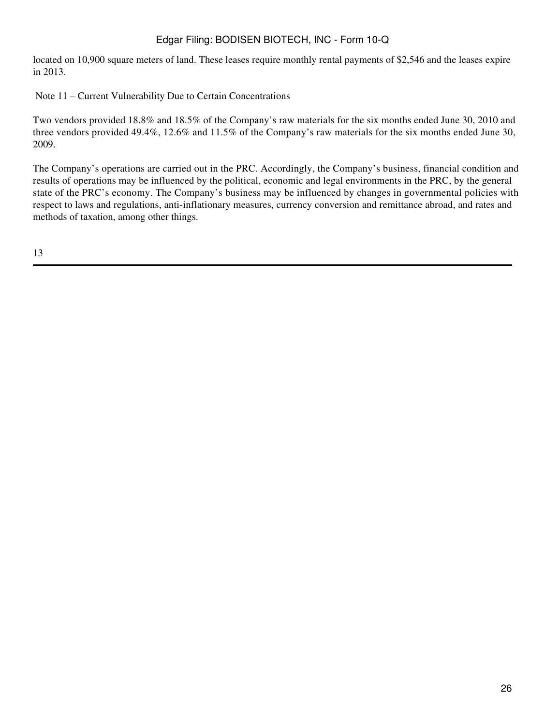located on 10,900 square meters of land. These leases require monthly rental payments of \$2,546 and the leases expire in 2013.

Note 11 – Current Vulnerability Due to Certain Concentrations

Two vendors provided 18.8% and 18.5% of the Company's raw materials for the six months ended June 30, 2010 and three vendors provided 49.4%, 12.6% and 11.5% of the Company's raw materials for the six months ended June 30, 2009.

The Company's operations are carried out in the PRC. Accordingly, the Company's business, financial condition and results of operations may be influenced by the political, economic and legal environments in the PRC, by the general state of the PRC's economy. The Company's business may be influenced by changes in governmental policies with respect to laws and regulations, anti-inflationary measures, currency conversion and remittance abroad, and rates and methods of taxation, among other things.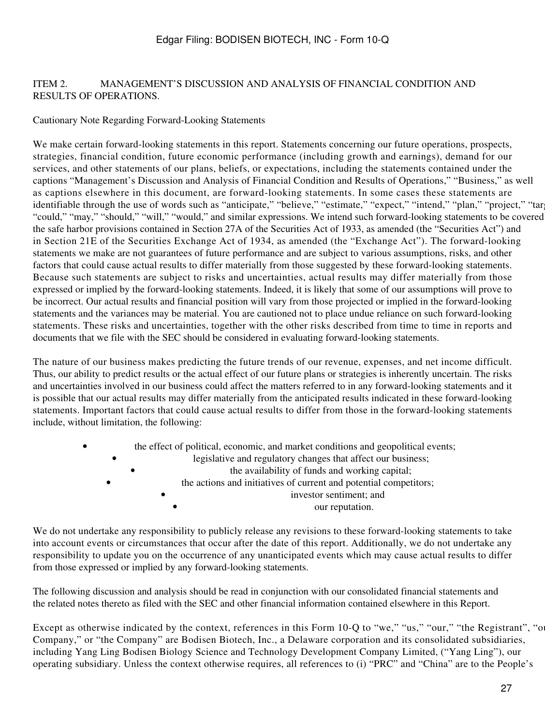### ITEM 2. MANAGEMENT'S DISCUSSION AND ANALYSIS OF FINANCIAL CONDITION AND RESULTS OF OPERATIONS.

### Cautionary Note Regarding Forward-Looking Statements

We make certain forward-looking statements in this report. Statements concerning our future operations, prospects, strategies, financial condition, future economic performance (including growth and earnings), demand for our services, and other statements of our plans, beliefs, or expectations, including the statements contained under the captions "Management's Discussion and Analysis of Financial Condition and Results of Operations," "Business," as well as captions elsewhere in this document, are forward-looking statements. In some cases these statements are identifiable through the use of words such as "anticipate," "believe," "estimate," "expect," "intend," "plan," "project," "tar "could," "may," "should," "will," "would," and similar expressions. We intend such forward-looking statements to be covered the safe harbor provisions contained in Section 27A of the Securities Act of 1933, as amended (the "Securities Act") and in Section 21E of the Securities Exchange Act of 1934, as amended (the "Exchange Act"). The forward-looking statements we make are not guarantees of future performance and are subject to various assumptions, risks, and other factors that could cause actual results to differ materially from those suggested by these forward-looking statements. Because such statements are subject to risks and uncertainties, actual results may differ materially from those expressed or implied by the forward-looking statements. Indeed, it is likely that some of our assumptions will prove to be incorrect. Our actual results and financial position will vary from those projected or implied in the forward-looking statements and the variances may be material. You are cautioned not to place undue reliance on such forward-looking statements. These risks and uncertainties, together with the other risks described from time to time in reports and documents that we file with the SEC should be considered in evaluating forward-looking statements.

The nature of our business makes predicting the future trends of our revenue, expenses, and net income difficult. Thus, our ability to predict results or the actual effect of our future plans or strategies is inherently uncertain. The risks and uncertainties involved in our business could affect the matters referred to in any forward-looking statements and it is possible that our actual results may differ materially from the anticipated results indicated in these forward-looking statements. Important factors that could cause actual results to differ from those in the forward-looking statements include, without limitation, the following:

| $\bullet$ |           | the effect of political, economic, and market conditions and geopolitical events; |
|-----------|-----------|-----------------------------------------------------------------------------------|
|           |           | legislative and regulatory changes that affect our business;                      |
|           |           | the availability of funds and working capital;                                    |
|           | $\bullet$ | the actions and initiatives of current and potential competitors;                 |
|           |           | investor sentiment; and                                                           |
|           |           | our reputation.                                                                   |

We do not undertake any responsibility to publicly release any revisions to these forward-looking statements to take into account events or circumstances that occur after the date of this report. Additionally, we do not undertake any responsibility to update you on the occurrence of any unanticipated events which may cause actual results to differ from those expressed or implied by any forward-looking statements.

The following discussion and analysis should be read in conjunction with our consolidated financial statements and the related notes thereto as filed with the SEC and other financial information contained elsewhere in this Report.

Except as otherwise indicated by the context, references in this Form 10-Q to "we," "us," "our," "the Registrant", "our Company," or "the Company" are Bodisen Biotech, Inc., a Delaware corporation and its consolidated subsidiaries, including Yang Ling Bodisen Biology Science and Technology Development Company Limited, ("Yang Ling"), our operating subsidiary. Unless the context otherwise requires, all references to (i) "PRC" and "China" are to the People's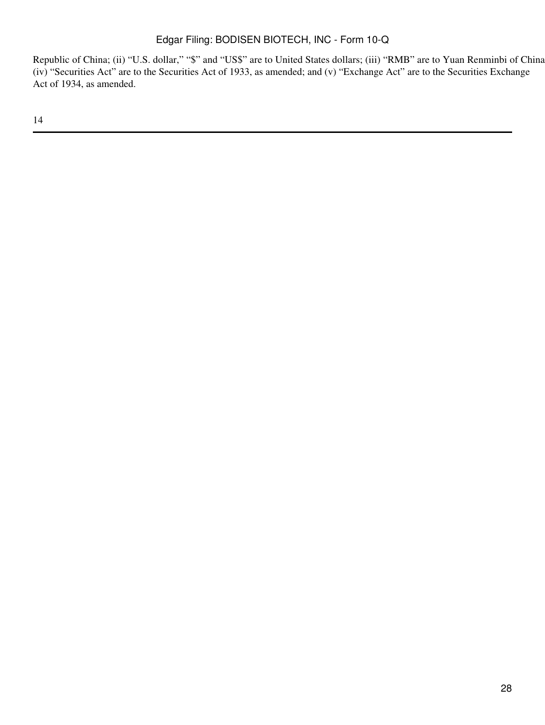Republic of China; (ii) "U.S. dollar," "\$" and "US\$" are to United States dollars; (iii) "RMB" are to Yuan Renminbi of China; (iv) "Securities Act" are to the Securities Act of 1933, as amended; and (v) "Exchange Act" are to the Securities Exchange Act of 1934, as amended.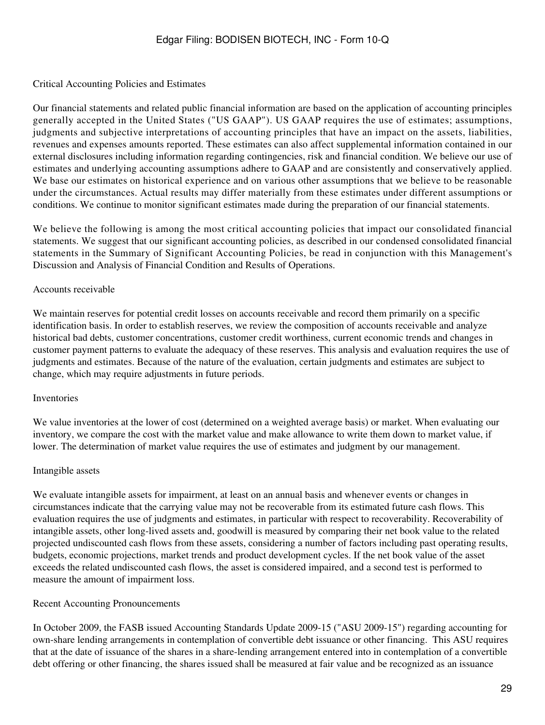### Critical Accounting Policies and Estimates

Our financial statements and related public financial information are based on the application of accounting principles generally accepted in the United States ("US GAAP"). US GAAP requires the use of estimates; assumptions, judgments and subjective interpretations of accounting principles that have an impact on the assets, liabilities, revenues and expenses amounts reported. These estimates can also affect supplemental information contained in our external disclosures including information regarding contingencies, risk and financial condition. We believe our use of estimates and underlying accounting assumptions adhere to GAAP and are consistently and conservatively applied. We base our estimates on historical experience and on various other assumptions that we believe to be reasonable under the circumstances. Actual results may differ materially from these estimates under different assumptions or conditions. We continue to monitor significant estimates made during the preparation of our financial statements.

We believe the following is among the most critical accounting policies that impact our consolidated financial statements. We suggest that our significant accounting policies, as described in our condensed consolidated financial statements in the Summary of Significant Accounting Policies, be read in conjunction with this Management's Discussion and Analysis of Financial Condition and Results of Operations.

### Accounts receivable

We maintain reserves for potential credit losses on accounts receivable and record them primarily on a specific identification basis. In order to establish reserves, we review the composition of accounts receivable and analyze historical bad debts, customer concentrations, customer credit worthiness, current economic trends and changes in customer payment patterns to evaluate the adequacy of these reserves. This analysis and evaluation requires the use of judgments and estimates. Because of the nature of the evaluation, certain judgments and estimates are subject to change, which may require adjustments in future periods.

#### Inventories

We value inventories at the lower of cost (determined on a weighted average basis) or market. When evaluating our inventory, we compare the cost with the market value and make allowance to write them down to market value, if lower. The determination of market value requires the use of estimates and judgment by our management.

#### Intangible assets

We evaluate intangible assets for impairment, at least on an annual basis and whenever events or changes in circumstances indicate that the carrying value may not be recoverable from its estimated future cash flows. This evaluation requires the use of judgments and estimates, in particular with respect to recoverability. Recoverability of intangible assets, other long-lived assets and, goodwill is measured by comparing their net book value to the related projected undiscounted cash flows from these assets, considering a number of factors including past operating results, budgets, economic projections, market trends and product development cycles. If the net book value of the asset exceeds the related undiscounted cash flows, the asset is considered impaired, and a second test is performed to measure the amount of impairment loss.

## Recent Accounting Pronouncements

In October 2009, the FASB issued Accounting Standards Update 2009-15 ("ASU 2009-15") regarding accounting for own-share lending arrangements in contemplation of convertible debt issuance or other financing. This ASU requires that at the date of issuance of the shares in a share-lending arrangement entered into in contemplation of a convertible debt offering or other financing, the shares issued shall be measured at fair value and be recognized as an issuance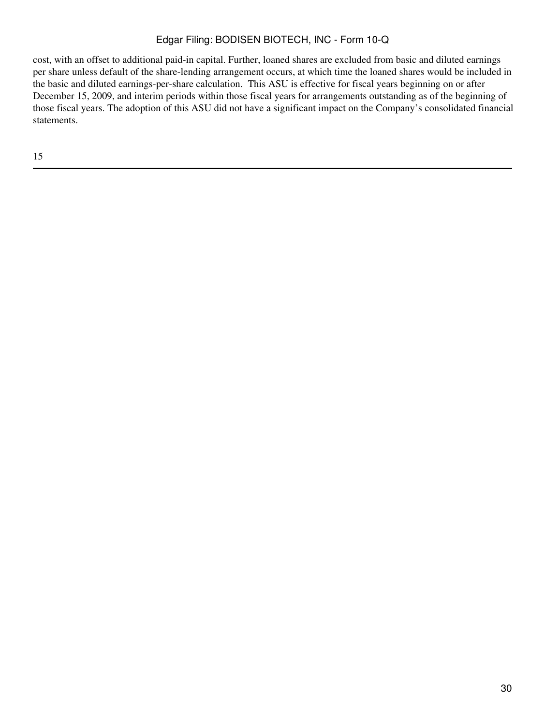cost, with an offset to additional paid-in capital. Further, loaned shares are excluded from basic and diluted earnings per share unless default of the share-lending arrangement occurs, at which time the loaned shares would be included in the basic and diluted earnings-per-share calculation. This ASU is effective for fiscal years beginning on or after December 15, 2009, and interim periods within those fiscal years for arrangements outstanding as of the beginning of those fiscal years. The adoption of this ASU did not have a significant impact on the Company's consolidated financial statements.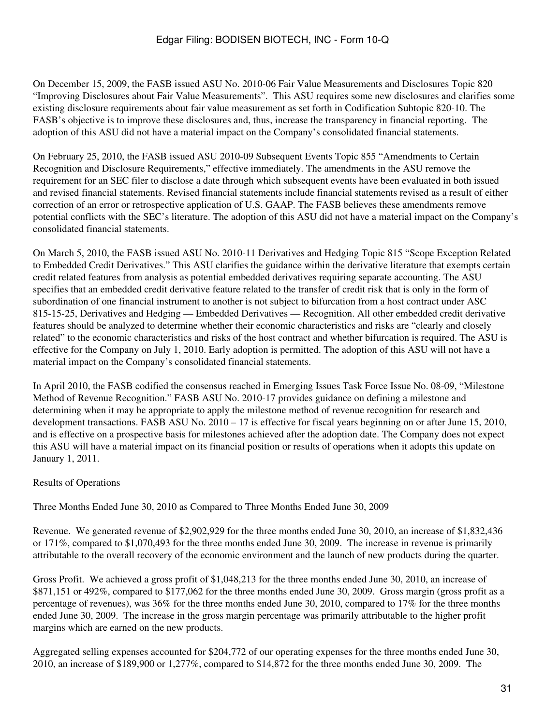On December 15, 2009, the FASB issued ASU No. 2010-06 Fair Value Measurements and Disclosures Topic 820 "Improving Disclosures about Fair Value Measurements". This ASU requires some new disclosures and clarifies some existing disclosure requirements about fair value measurement as set forth in Codification Subtopic 820-10. The FASB's objective is to improve these disclosures and, thus, increase the transparency in financial reporting. The adoption of this ASU did not have a material impact on the Company's consolidated financial statements.

On February 25, 2010, the FASB issued ASU 2010-09 Subsequent Events Topic 855 "Amendments to Certain Recognition and Disclosure Requirements," effective immediately. The amendments in the ASU remove the requirement for an SEC filer to disclose a date through which subsequent events have been evaluated in both issued and revised financial statements. Revised financial statements include financial statements revised as a result of either correction of an error or retrospective application of U.S. GAAP. The FASB believes these amendments remove potential conflicts with the SEC's literature. The adoption of this ASU did not have a material impact on the Company's consolidated financial statements.

On March 5, 2010, the FASB issued ASU No. 2010-11 Derivatives and Hedging Topic 815 "Scope Exception Related to Embedded Credit Derivatives." This ASU clarifies the guidance within the derivative literature that exempts certain credit related features from analysis as potential embedded derivatives requiring separate accounting. The ASU specifies that an embedded credit derivative feature related to the transfer of credit risk that is only in the form of subordination of one financial instrument to another is not subject to bifurcation from a host contract under ASC 815-15-25, Derivatives and Hedging — Embedded Derivatives — Recognition. All other embedded credit derivative features should be analyzed to determine whether their economic characteristics and risks are "clearly and closely related" to the economic characteristics and risks of the host contract and whether bifurcation is required. The ASU is effective for the Company on July 1, 2010. Early adoption is permitted. The adoption of this ASU will not have a material impact on the Company's consolidated financial statements.

In April 2010, the FASB codified the consensus reached in Emerging Issues Task Force Issue No. 08-09, "Milestone Method of Revenue Recognition." FASB ASU No. 2010-17 provides guidance on defining a milestone and determining when it may be appropriate to apply the milestone method of revenue recognition for research and development transactions. FASB ASU No. 2010 – 17 is effective for fiscal years beginning on or after June 15, 2010, and is effective on a prospective basis for milestones achieved after the adoption date. The Company does not expect this ASU will have a material impact on its financial position or results of operations when it adopts this update on January 1, 2011.

## Results of Operations

Three Months Ended June 30, 2010 as Compared to Three Months Ended June 30, 2009

Revenue. We generated revenue of \$2,902,929 for the three months ended June 30, 2010, an increase of \$1,832,436 or 171%, compared to \$1,070,493 for the three months ended June 30, 2009. The increase in revenue is primarily attributable to the overall recovery of the economic environment and the launch of new products during the quarter.

Gross Profit. We achieved a gross profit of \$1,048,213 for the three months ended June 30, 2010, an increase of \$871,151 or 492%, compared to \$177,062 for the three months ended June 30, 2009. Gross margin (gross profit as a percentage of revenues), was 36% for the three months ended June 30, 2010, compared to 17% for the three months ended June 30, 2009. The increase in the gross margin percentage was primarily attributable to the higher profit margins which are earned on the new products.

Aggregated selling expenses accounted for \$204,772 of our operating expenses for the three months ended June 30, 2010, an increase of \$189,900 or 1,277%, compared to \$14,872 for the three months ended June 30, 2009. The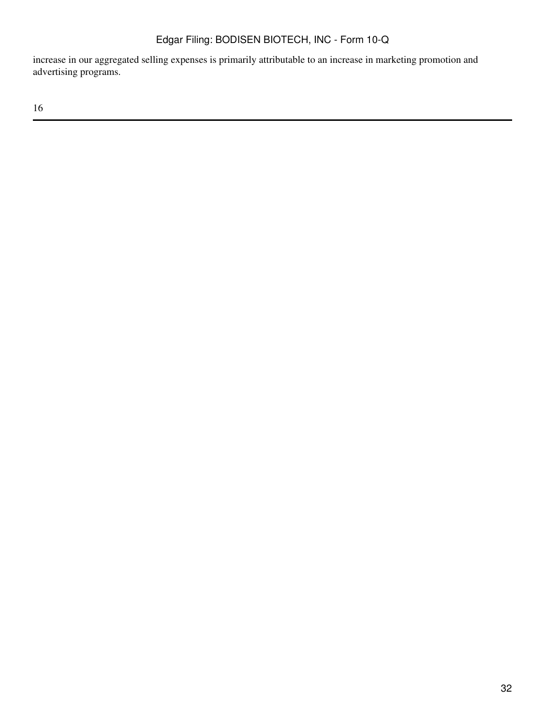increase in our aggregated selling expenses is primarily attributable to an increase in marketing promotion and advertising programs.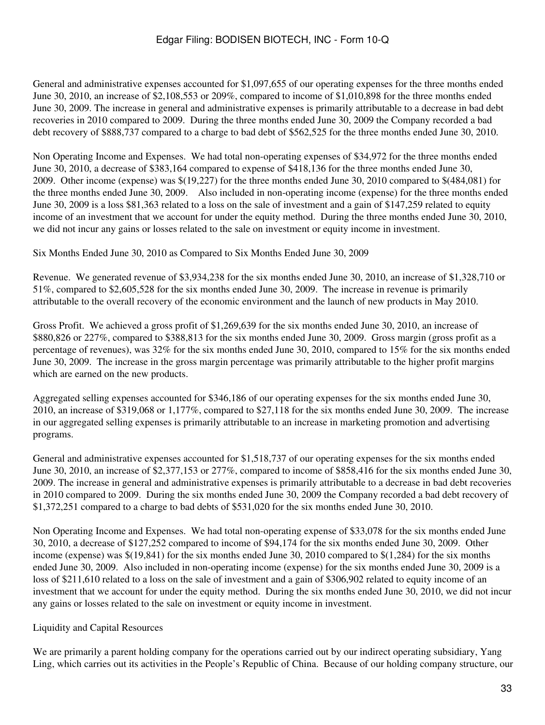General and administrative expenses accounted for \$1,097,655 of our operating expenses for the three months ended June 30, 2010, an increase of \$2,108,553 or 209%, compared to income of \$1,010,898 for the three months ended June 30, 2009. The increase in general and administrative expenses is primarily attributable to a decrease in bad debt recoveries in 2010 compared to 2009. During the three months ended June 30, 2009 the Company recorded a bad debt recovery of \$888,737 compared to a charge to bad debt of \$562,525 for the three months ended June 30, 2010.

Non Operating Income and Expenses. We had total non-operating expenses of \$34,972 for the three months ended June 30, 2010, a decrease of \$383,164 compared to expense of \$418,136 for the three months ended June 30, 2009. Other income (expense) was \$(19,227) for the three months ended June 30, 2010 compared to \$(484,081) for the three months ended June 30, 2009. Also included in non-operating income (expense) for the three months ended June 30, 2009 is a loss \$81,363 related to a loss on the sale of investment and a gain of \$147,259 related to equity income of an investment that we account for under the equity method. During the three months ended June 30, 2010, we did not incur any gains or losses related to the sale on investment or equity income in investment.

Six Months Ended June 30, 2010 as Compared to Six Months Ended June 30, 2009

Revenue. We generated revenue of \$3,934,238 for the six months ended June 30, 2010, an increase of \$1,328,710 or 51%, compared to \$2,605,528 for the six months ended June 30, 2009. The increase in revenue is primarily attributable to the overall recovery of the economic environment and the launch of new products in May 2010.

Gross Profit. We achieved a gross profit of \$1,269,639 for the six months ended June 30, 2010, an increase of \$880,826 or 227%, compared to \$388,813 for the six months ended June 30, 2009. Gross margin (gross profit as a percentage of revenues), was 32% for the six months ended June 30, 2010, compared to 15% for the six months ended June 30, 2009. The increase in the gross margin percentage was primarily attributable to the higher profit margins which are earned on the new products.

Aggregated selling expenses accounted for \$346,186 of our operating expenses for the six months ended June 30, 2010, an increase of \$319,068 or 1,177%, compared to \$27,118 for the six months ended June 30, 2009. The increase in our aggregated selling expenses is primarily attributable to an increase in marketing promotion and advertising programs.

General and administrative expenses accounted for \$1,518,737 of our operating expenses for the six months ended June 30, 2010, an increase of \$2,377,153 or 277%, compared to income of \$858,416 for the six months ended June 30, 2009. The increase in general and administrative expenses is primarily attributable to a decrease in bad debt recoveries in 2010 compared to 2009. During the six months ended June 30, 2009 the Company recorded a bad debt recovery of \$1,372,251 compared to a charge to bad debts of \$531,020 for the six months ended June 30, 2010.

Non Operating Income and Expenses. We had total non-operating expense of \$33,078 for the six months ended June 30, 2010, a decrease of \$127,252 compared to income of \$94,174 for the six months ended June 30, 2009. Other income (expense) was \$(19,841) for the six months ended June 30, 2010 compared to \$(1,284) for the six months ended June 30, 2009. Also included in non-operating income (expense) for the six months ended June 30, 2009 is a loss of \$211,610 related to a loss on the sale of investment and a gain of \$306,902 related to equity income of an investment that we account for under the equity method. During the six months ended June 30, 2010, we did not incur any gains or losses related to the sale on investment or equity income in investment.

## Liquidity and Capital Resources

We are primarily a parent holding company for the operations carried out by our indirect operating subsidiary, Yang Ling, which carries out its activities in the People's Republic of China. Because of our holding company structure, our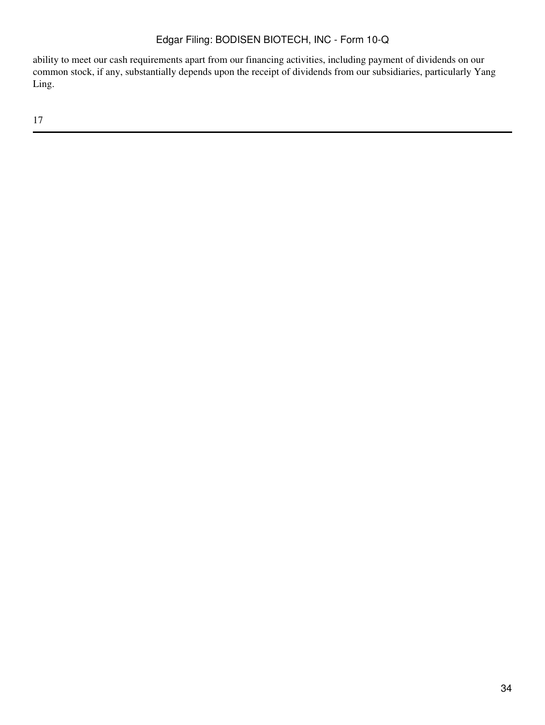ability to meet our cash requirements apart from our financing activities, including payment of dividends on our common stock, if any, substantially depends upon the receipt of dividends from our subsidiaries, particularly Yang Ling.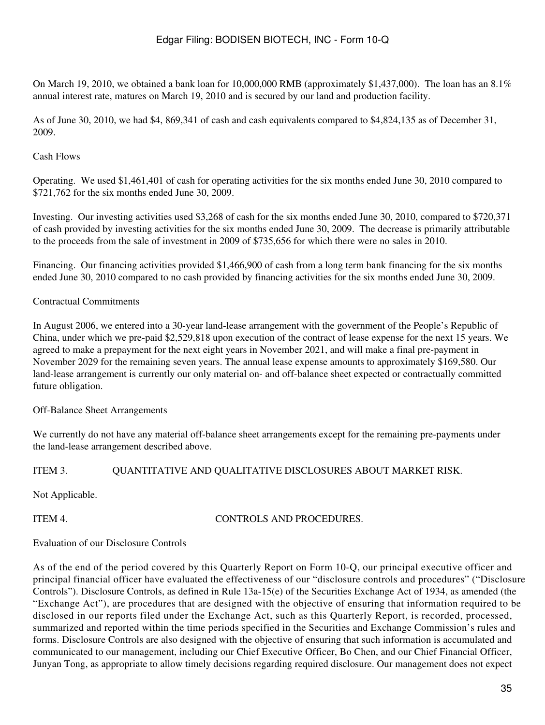On March 19, 2010, we obtained a bank loan for  $10,000,000$  RMB (approximately \$1,437,000). The loan has an  $8.1\%$ annual interest rate, matures on March 19, 2010 and is secured by our land and production facility.

As of June 30, 2010, we had \$4, 869,341 of cash and cash equivalents compared to \$4,824,135 as of December 31, 2009.

## Cash Flows

Operating. We used \$1,461,401 of cash for operating activities for the six months ended June 30, 2010 compared to \$721,762 for the six months ended June 30, 2009.

Investing. Our investing activities used \$3,268 of cash for the six months ended June 30, 2010, compared to \$720,371 of cash provided by investing activities for the six months ended June 30, 2009. The decrease is primarily attributable to the proceeds from the sale of investment in 2009 of \$735,656 for which there were no sales in 2010.

Financing. Our financing activities provided \$1,466,900 of cash from a long term bank financing for the six months ended June 30, 2010 compared to no cash provided by financing activities for the six months ended June 30, 2009.

### Contractual Commitments

In August 2006, we entered into a 30-year land-lease arrangement with the government of the People's Republic of China, under which we pre-paid \$2,529,818 upon execution of the contract of lease expense for the next 15 years. We agreed to make a prepayment for the next eight years in November 2021, and will make a final pre-payment in November 2029 for the remaining seven years. The annual lease expense amounts to approximately \$169,580. Our land-lease arrangement is currently our only material on- and off-balance sheet expected or contractually committed future obligation.

Off-Balance Sheet Arrangements

We currently do not have any material off-balance sheet arrangements except for the remaining pre-payments under the land-lease arrangement described above.

## ITEM 3. QUANTITATIVE AND QUALITATIVE DISCLOSURES ABOUT MARKET RISK.

Not Applicable.

## ITEM 4. CONTROLS AND PROCEDURES.

#### Evaluation of our Disclosure Controls

As of the end of the period covered by this Quarterly Report on Form 10-Q, our principal executive officer and principal financial officer have evaluated the effectiveness of our "disclosure controls and procedures" ("Disclosure Controls"). Disclosure Controls, as defined in Rule 13a-15(e) of the Securities Exchange Act of 1934, as amended (the "Exchange Act"), are procedures that are designed with the objective of ensuring that information required to be disclosed in our reports filed under the Exchange Act, such as this Quarterly Report, is recorded, processed, summarized and reported within the time periods specified in the Securities and Exchange Commission's rules and forms. Disclosure Controls are also designed with the objective of ensuring that such information is accumulated and communicated to our management, including our Chief Executive Officer, Bo Chen, and our Chief Financial Officer, Junyan Tong, as appropriate to allow timely decisions regarding required disclosure. Our management does not expect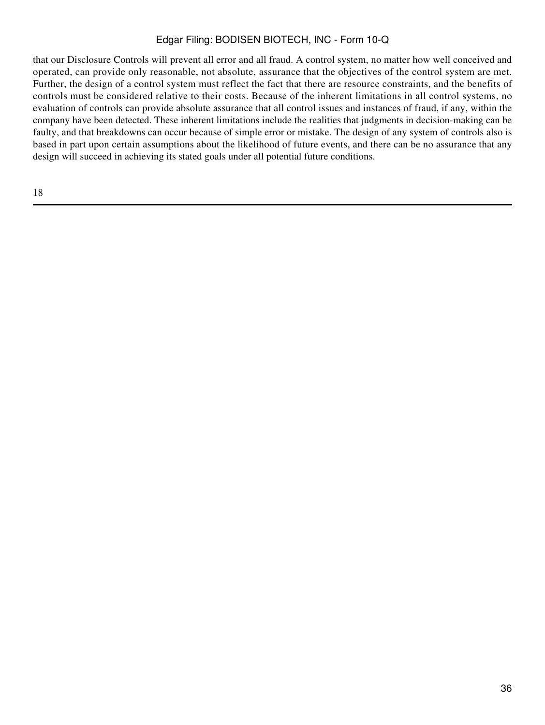that our Disclosure Controls will prevent all error and all fraud. A control system, no matter how well conceived and operated, can provide only reasonable, not absolute, assurance that the objectives of the control system are met. Further, the design of a control system must reflect the fact that there are resource constraints, and the benefits of controls must be considered relative to their costs. Because of the inherent limitations in all control systems, no evaluation of controls can provide absolute assurance that all control issues and instances of fraud, if any, within the company have been detected. These inherent limitations include the realities that judgments in decision-making can be faulty, and that breakdowns can occur because of simple error or mistake. The design of any system of controls also is based in part upon certain assumptions about the likelihood of future events, and there can be no assurance that any design will succeed in achieving its stated goals under all potential future conditions.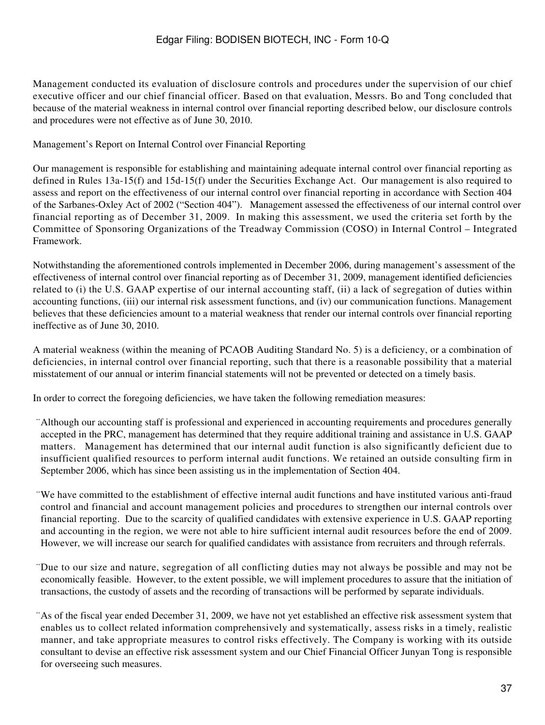Management conducted its evaluation of disclosure controls and procedures under the supervision of our chief executive officer and our chief financial officer. Based on that evaluation, Messrs. Bo and Tong concluded that because of the material weakness in internal control over financial reporting described below, our disclosure controls and procedures were not effective as of June 30, 2010.

Management's Report on Internal Control over Financial Reporting

Our management is responsible for establishing and maintaining adequate internal control over financial reporting as defined in Rules 13a-15(f) and 15d-15(f) under the Securities Exchange Act. Our management is also required to assess and report on the effectiveness of our internal control over financial reporting in accordance with Section 404 of the Sarbanes-Oxley Act of 2002 ("Section 404"). Management assessed the effectiveness of our internal control over financial reporting as of December 31, 2009. In making this assessment, we used the criteria set forth by the Committee of Sponsoring Organizations of the Treadway Commission (COSO) in Internal Control – Integrated Framework.

Notwithstanding the aforementioned controls implemented in December 2006, during management's assessment of the effectiveness of internal control over financial reporting as of December 31, 2009, management identified deficiencies related to (i) the U.S. GAAP expertise of our internal accounting staff, (ii) a lack of segregation of duties within accounting functions, (iii) our internal risk assessment functions, and (iv) our communication functions. Management believes that these deficiencies amount to a material weakness that render our internal controls over financial reporting ineffective as of June 30, 2010.

A material weakness (within the meaning of PCAOB Auditing Standard No. 5) is a deficiency, or a combination of deficiencies, in internal control over financial reporting, such that there is a reasonable possibility that a material misstatement of our annual or interim financial statements will not be prevented or detected on a timely basis.

In order to correct the foregoing deficiencies, we have taken the following remediation measures:

- ¨Although our accounting staff is professional and experienced in accounting requirements and procedures generally accepted in the PRC, management has determined that they require additional training and assistance in U.S. GAAP matters. Management has determined that our internal audit function is also significantly deficient due to insufficient qualified resources to perform internal audit functions. We retained an outside consulting firm in September 2006, which has since been assisting us in the implementation of Section 404.
- ¨We have committed to the establishment of effective internal audit functions and have instituted various anti-fraud control and financial and account management policies and procedures to strengthen our internal controls over financial reporting. Due to the scarcity of qualified candidates with extensive experience in U.S. GAAP reporting and accounting in the region, we were not able to hire sufficient internal audit resources before the end of 2009. However, we will increase our search for qualified candidates with assistance from recruiters and through referrals.
- ¨Due to our size and nature, segregation of all conflicting duties may not always be possible and may not be economically feasible. However, to the extent possible, we will implement procedures to assure that the initiation of transactions, the custody of assets and the recording of transactions will be performed by separate individuals.
- ¨As of the fiscal year ended December 31, 2009, we have not yet established an effective risk assessment system that enables us to collect related information comprehensively and systematically, assess risks in a timely, realistic manner, and take appropriate measures to control risks effectively. The Company is working with its outside consultant to devise an effective risk assessment system and our Chief Financial Officer Junyan Tong is responsible for overseeing such measures.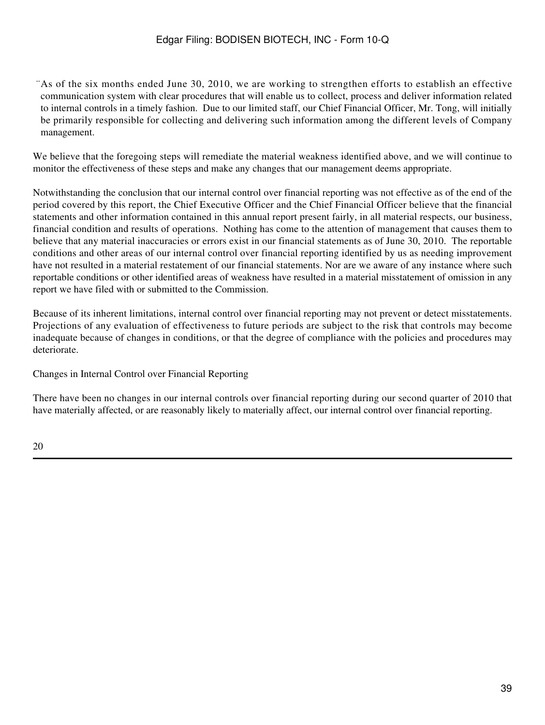¨As of the six months ended June 30, 2010, we are working to strengthen efforts to establish an effective communication system with clear procedures that will enable us to collect, process and deliver information related to internal controls in a timely fashion. Due to our limited staff, our Chief Financial Officer, Mr. Tong, will initially be primarily responsible for collecting and delivering such information among the different levels of Company management.

We believe that the foregoing steps will remediate the material weakness identified above, and we will continue to monitor the effectiveness of these steps and make any changes that our management deems appropriate.

Notwithstanding the conclusion that our internal control over financial reporting was not effective as of the end of the period covered by this report, the Chief Executive Officer and the Chief Financial Officer believe that the financial statements and other information contained in this annual report present fairly, in all material respects, our business, financial condition and results of operations. Nothing has come to the attention of management that causes them to believe that any material inaccuracies or errors exist in our financial statements as of June 30, 2010. The reportable conditions and other areas of our internal control over financial reporting identified by us as needing improvement have not resulted in a material restatement of our financial statements. Nor are we aware of any instance where such reportable conditions or other identified areas of weakness have resulted in a material misstatement of omission in any report we have filed with or submitted to the Commission.

Because of its inherent limitations, internal control over financial reporting may not prevent or detect misstatements. Projections of any evaluation of effectiveness to future periods are subject to the risk that controls may become inadequate because of changes in conditions, or that the degree of compliance with the policies and procedures may deteriorate.

Changes in Internal Control over Financial Reporting

There have been no changes in our internal controls over financial reporting during our second quarter of 2010 that have materially affected, or are reasonably likely to materially affect, our internal control over financial reporting.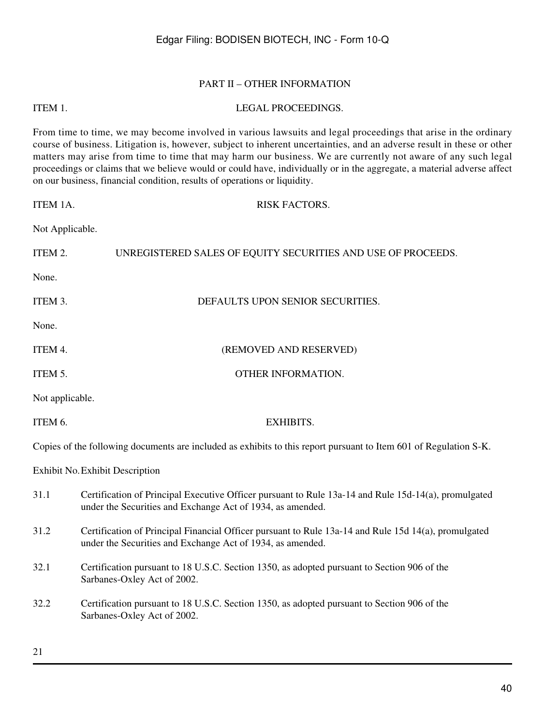#### PART II – OTHER INFORMATION

#### ITEM 1. LEGAL PROCEEDINGS.

From time to time, we may become involved in various lawsuits and legal proceedings that arise in the ordinary course of business. Litigation is, however, subject to inherent uncertainties, and an adverse result in these or other matters may arise from time to time that may harm our business. We are currently not aware of any such legal proceedings or claims that we believe would or could have, individually or in the aggregate, a material adverse affect on our business, financial condition, results of operations or liquidity.

| ITEM 1A.        | <b>RISK FACTORS.</b>                                                                                                                                               |
|-----------------|--------------------------------------------------------------------------------------------------------------------------------------------------------------------|
| Not Applicable. |                                                                                                                                                                    |
| ITEM 2.         | UNREGISTERED SALES OF EQUITY SECURITIES AND USE OF PROCEEDS.                                                                                                       |
| None.           |                                                                                                                                                                    |
| ITEM 3.         | DEFAULTS UPON SENIOR SECURITIES.                                                                                                                                   |
| None.           |                                                                                                                                                                    |
| ITEM 4.         | (REMOVED AND RESERVED)                                                                                                                                             |
| ITEM 5.         | OTHER INFORMATION.                                                                                                                                                 |
| Not applicable. |                                                                                                                                                                    |
| ITEM 6.         | <b>EXHIBITS.</b>                                                                                                                                                   |
|                 | Copies of the following documents are included as exhibits to this report pursuant to Item 601 of Regulation S-K.                                                  |
|                 | <b>Exhibit No. Exhibit Description</b>                                                                                                                             |
| 31.1            | Certification of Principal Executive Officer pursuant to Rule 13a-14 and Rule 15d-14(a), promulgated<br>under the Securities and Exchange Act of 1934, as amended. |
| 31.2            | Certification of Principal Financial Officer pursuant to Rule 13a-14 and Rule 15d 14(a), promulgated<br>under the Securities and Exchange Act of 1934, as amended. |
| 32.1            | Certification pursuant to 18 U.S.C. Section 1350, as adopted pursuant to Section 906 of the<br>Sarbanes-Oxley Act of 2002.                                         |
| 32.2            | Certification pursuant to 18 U.S.C. Section 1350, as adopted pursuant to Section 906 of the<br>Sarbanes-Oxley Act of 2002.                                         |
|                 |                                                                                                                                                                    |